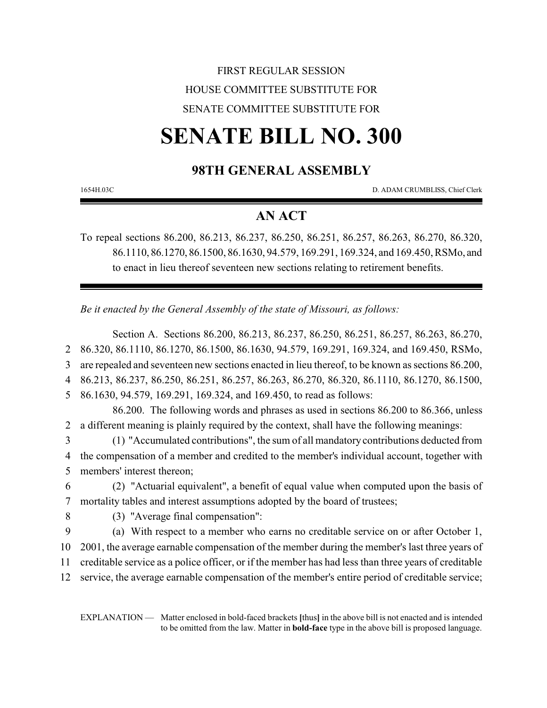# FIRST REGULAR SESSION HOUSE COMMITTEE SUBSTITUTE FOR SENATE COMMITTEE SUBSTITUTE FOR

# **SENATE BILL NO. 300**

# **98TH GENERAL ASSEMBLY**

1654H.03C D. ADAM CRUMBLISS, Chief Clerk

# **AN ACT**

To repeal sections 86.200, 86.213, 86.237, 86.250, 86.251, 86.257, 86.263, 86.270, 86.320, 86.1110, 86.1270, 86.1500, 86.1630, 94.579, 169.291, 169.324, and 169.450, RSMo, and to enact in lieu thereof seventeen new sections relating to retirement benefits.

*Be it enacted by the General Assembly of the state of Missouri, as follows:*

Section A. Sections 86.200, 86.213, 86.237, 86.250, 86.251, 86.257, 86.263, 86.270, 86.320, 86.1110, 86.1270, 86.1500, 86.1630, 94.579, 169.291, 169.324, and 169.450, RSMo, are repealed and seventeen new sections enacted in lieu thereof, to be known as sections 86.200, 86.213, 86.237, 86.250, 86.251, 86.257, 86.263, 86.270, 86.320, 86.1110, 86.1270, 86.1500, 86.1630, 94.579, 169.291, 169.324, and 169.450, to read as follows: 86.200. The following words and phrases as used in sections 86.200 to 86.366, unless a different meaning is plainly required by the context, shall have the following meanings: (1) "Accumulated contributions", the sum of all mandatory contributions deducted from the compensation of a member and credited to the member's individual account, together with members' interest thereon; (2) "Actuarial equivalent", a benefit of equal value when computed upon the basis of mortality tables and interest assumptions adopted by the board of trustees; (3) "Average final compensation": (a) With respect to a member who earns no creditable service on or after October 1, 2001, the average earnable compensation of the member during the member's last three years of creditable service as a police officer, or if the member has had less than three years of creditable service, the average earnable compensation of the member's entire period of creditable service;

EXPLANATION — Matter enclosed in bold-faced brackets **[**thus**]** in the above bill is not enacted and is intended to be omitted from the law. Matter in **bold-face** type in the above bill is proposed language.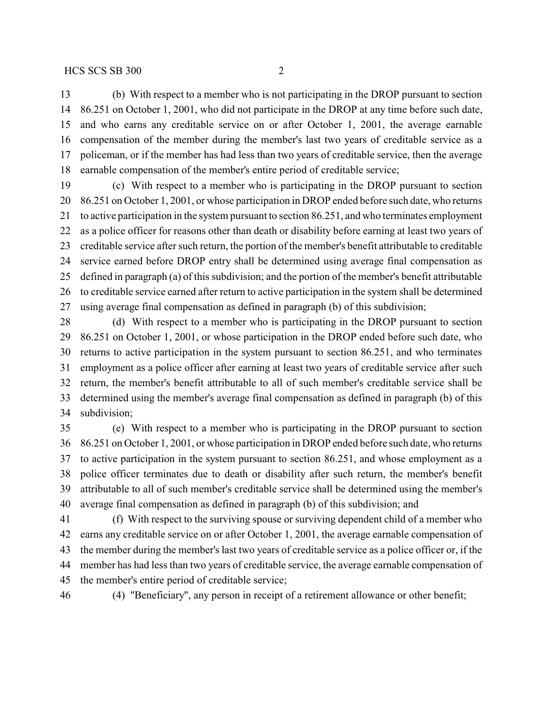(b) With respect to a member who is not participating in the DROP pursuant to section 86.251 on October 1, 2001, who did not participate in the DROP at any time before such date, and who earns any creditable service on or after October 1, 2001, the average earnable compensation of the member during the member's last two years of creditable service as a policeman, or if the member has had less than two years of creditable service, then the average earnable compensation of the member's entire period of creditable service;

 (c) With respect to a member who is participating in the DROP pursuant to section 86.251 on October 1, 2001, or whose participation in DROP ended before such date, who returns to active participation in the system pursuant to section 86.251, and who terminates employment as a police officer for reasons other than death or disability before earning at least two years of creditable service after such return, the portion of the member's benefit attributable to creditable service earned before DROP entry shall be determined using average final compensation as defined in paragraph (a) of this subdivision; and the portion of the member's benefit attributable to creditable service earned after return to active participation in the system shall be determined using average final compensation as defined in paragraph (b) of this subdivision;

 (d) With respect to a member who is participating in the DROP pursuant to section 86.251 on October 1, 2001, or whose participation in the DROP ended before such date, who returns to active participation in the system pursuant to section 86.251, and who terminates employment as a police officer after earning at least two years of creditable service after such return, the member's benefit attributable to all of such member's creditable service shall be determined using the member's average final compensation as defined in paragraph (b) of this subdivision;

 (e) With respect to a member who is participating in the DROP pursuant to section 86.251 on October 1, 2001, or whose participation in DROP ended before such date, who returns to active participation in the system pursuant to section 86.251, and whose employment as a police officer terminates due to death or disability after such return, the member's benefit attributable to all of such member's creditable service shall be determined using the member's average final compensation as defined in paragraph (b) of this subdivision; and

 (f) With respect to the surviving spouse or surviving dependent child of a member who earns any creditable service on or after October 1, 2001, the average earnable compensation of the member during the member's last two years of creditable service as a police officer or, if the member has had less than two years of creditable service, the average earnable compensation of the member's entire period of creditable service;

(4) "Beneficiary", any person in receipt of a retirement allowance or other benefit;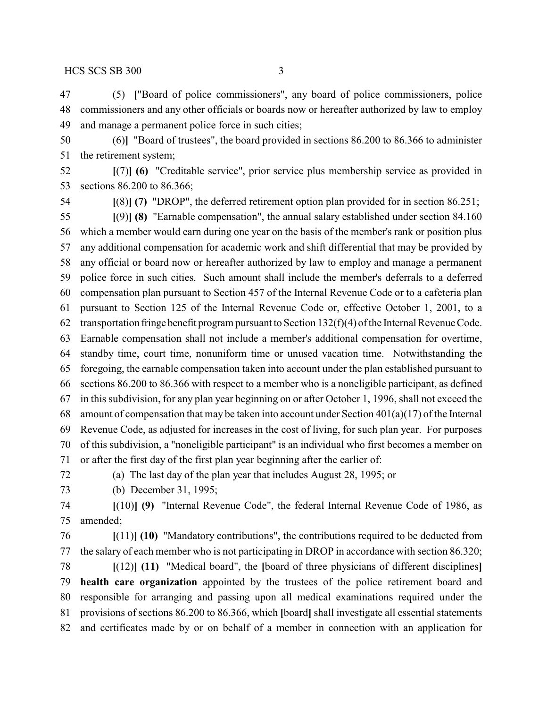(5) **[**"Board of police commissioners", any board of police commissioners, police commissioners and any other officials or boards now or hereafter authorized by law to employ and manage a permanent police force in such cities;

 (6)**]** "Board of trustees", the board provided in sections 86.200 to 86.366 to administer the retirement system;

 **[**(7)**] (6)** "Creditable service", prior service plus membership service as provided in sections 86.200 to 86.366;

**[**(8)**] (7)** "DROP", the deferred retirement option plan provided for in section 86.251;

 **[**(9)**] (8)** "Earnable compensation", the annual salary established under section 84.160 which a member would earn during one year on the basis of the member's rank or position plus any additional compensation for academic work and shift differential that may be provided by any official or board now or hereafter authorized by law to employ and manage a permanent police force in such cities. Such amount shall include the member's deferrals to a deferred compensation plan pursuant to Section 457 of the Internal Revenue Code or to a cafeteria plan pursuant to Section 125 of the Internal Revenue Code or, effective October 1, 2001, to a transportation fringe benefit program pursuant to Section 132(f)(4) of the Internal Revenue Code. Earnable compensation shall not include a member's additional compensation for overtime, standby time, court time, nonuniform time or unused vacation time. Notwithstanding the foregoing, the earnable compensation taken into account under the plan established pursuant to sections 86.200 to 86.366 with respect to a member who is a noneligible participant, as defined in this subdivision, for any plan year beginning on or after October 1, 1996, shall not exceed the amount of compensation that may be taken into account under Section 401(a)(17) of the Internal Revenue Code, as adjusted for increases in the cost of living, for such plan year. For purposes of this subdivision, a "noneligible participant" is an individual who first becomes a member on or after the first day of the first plan year beginning after the earlier of:

(a) The last day of the plan year that includes August 28, 1995; or

(b) December 31, 1995;

 **[**(10)**] (9)** "Internal Revenue Code", the federal Internal Revenue Code of 1986, as amended;

 **[**(11)**] (10)** "Mandatory contributions", the contributions required to be deducted from the salary of each member who is not participating in DROP in accordance with section 86.320;

 **[**(12)**] (11)** "Medical board", the **[**board of three physicians of different disciplines**] health care organization** appointed by the trustees of the police retirement board and responsible for arranging and passing upon all medical examinations required under the provisions of sections 86.200 to 86.366, which **[**board**]** shall investigate all essential statements and certificates made by or on behalf of a member in connection with an application for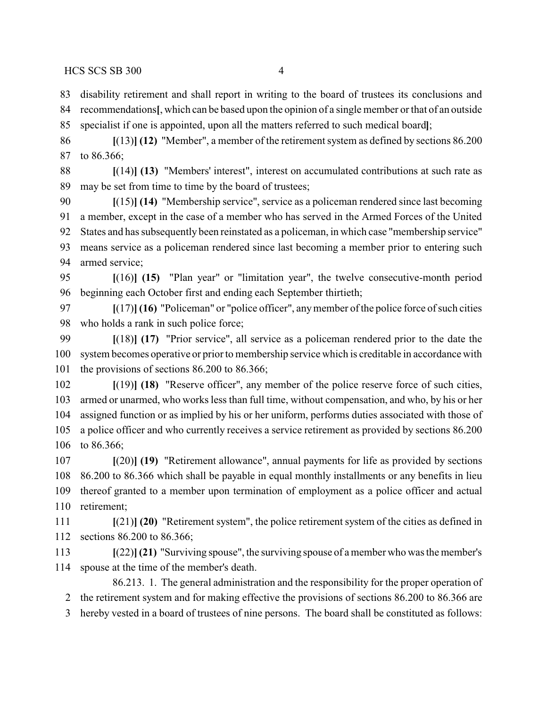disability retirement and shall report in writing to the board of trustees its conclusions and recommendations**[**, which can be based upon the opinion of a single member or that of an outside specialist if one is appointed, upon all the matters referred to such medical board**]**;

 **[**(13)**] (12)** "Member", a member of the retirement system as defined by sections 86.200 to 86.366;

 **[**(14)**] (13)** "Members' interest", interest on accumulated contributions at such rate as may be set from time to time by the board of trustees;

 **[**(15)**] (14)** "Membership service", service as a policeman rendered since last becoming a member, except in the case of a member who has served in the Armed Forces of the United States and has subsequently been reinstated as a policeman, in which case "membership service" means service as a policeman rendered since last becoming a member prior to entering such armed service;

 **[**(16)**] (15)** "Plan year" or "limitation year", the twelve consecutive-month period beginning each October first and ending each September thirtieth;

 **[**(17)**] (16)** "Policeman" or "police officer", anymember of the police force of such cities who holds a rank in such police force;

 **[**(18)**] (17)** "Prior service", all service as a policeman rendered prior to the date the system becomes operative or prior to membership service which is creditable in accordance with the provisions of sections 86.200 to 86.366;

 **[**(19)**] (18)** "Reserve officer", any member of the police reserve force of such cities, armed or unarmed, who works less than full time, without compensation, and who, by his or her assigned function or as implied by his or her uniform, performs duties associated with those of a police officer and who currently receives a service retirement as provided by sections 86.200 to 86.366;

 **[**(20)**] (19)** "Retirement allowance", annual payments for life as provided by sections 86.200 to 86.366 which shall be payable in equal monthly installments or any benefits in lieu thereof granted to a member upon termination of employment as a police officer and actual retirement;

 **[**(21)**] (20)** "Retirement system", the police retirement system of the cities as defined in sections 86.200 to 86.366;

 **[**(22)**](21)** "Surviving spouse", the surviving spouse of amember who was the member's spouse at the time of the member's death.

86.213. 1. The general administration and the responsibility for the proper operation of the retirement system and for making effective the provisions of sections 86.200 to 86.366 are

hereby vested in a board of trustees of nine persons. The board shall be constituted as follows: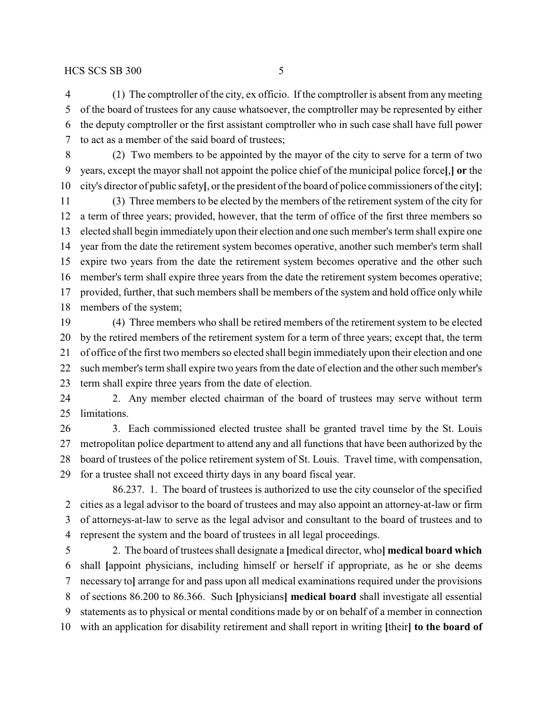(1) The comptroller of the city, ex officio. If the comptroller is absent from any meeting of the board of trustees for any cause whatsoever, the comptroller may be represented by either the deputy comptroller or the first assistant comptroller who in such case shall have full power to act as a member of the said board of trustees;

 (2) Two members to be appointed by the mayor of the city to serve for a term of two years, except the mayor shall not appoint the police chief of the municipal police force**[**,**] or** the city's director of public safety**[**, or the president of the board of police commissioners of the city**]**;

 (3) Three members to be elected by the members of the retirement system of the city for a term of three years; provided, however, that the term of office of the first three members so elected shall begin immediately upon their election and one such member's term shall expire one year from the date the retirement system becomes operative, another such member's term shall expire two years from the date the retirement system becomes operative and the other such member's term shall expire three years from the date the retirement system becomes operative; provided, further, that such members shall be members of the system and hold office only while members of the system;

 (4) Three members who shall be retired members of the retirement system to be elected by the retired members of the retirement system for a term of three years; except that, the term of office of the first two members so elected shall begin immediately upon their election and one such member's term shall expire two years from the date of election and the other such member's term shall expire three years from the date of election.

 2. Any member elected chairman of the board of trustees may serve without term limitations.

 3. Each commissioned elected trustee shall be granted travel time by the St. Louis metropolitan police department to attend any and all functions that have been authorized by the board of trustees of the police retirement system of St. Louis. Travel time, with compensation, for a trustee shall not exceed thirty days in any board fiscal year.

86.237. 1. The board of trustees is authorized to use the city counselor of the specified cities as a legal advisor to the board of trustees and may also appoint an attorney-at-law or firm of attorneys-at-law to serve as the legal advisor and consultant to the board of trustees and to represent the system and the board of trustees in all legal proceedings.

 2. The board of trustees shall designate a **[**medical director, who**] medical board which** shall **[**appoint physicians, including himself or herself if appropriate, as he or she deems necessary to**]** arrange for and pass upon all medical examinations required under the provisions of sections 86.200 to 86.366. Such **[**physicians**] medical board** shall investigate all essential statements as to physical or mental conditions made by or on behalf of a member in connection with an application for disability retirement and shall report in writing **[**their**] to the board of**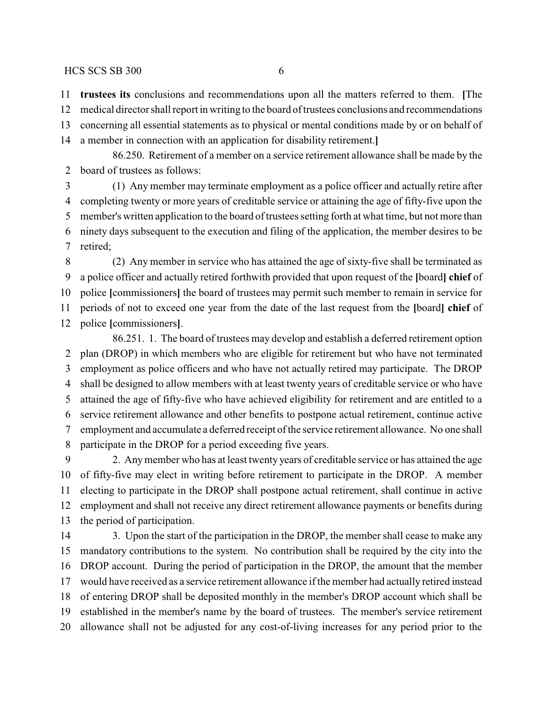**trustees its** conclusions and recommendations upon all the matters referred to them. **[**The

medical director shall report in writing to the board of trustees conclusions and recommendations

concerning all essential statements as to physical or mental conditions made by or on behalf of

a member in connection with an application for disability retirement.**]**

86.250. Retirement of a member on a service retirement allowance shall be made by the board of trustees as follows:

 (1) Any member may terminate employment as a police officer and actually retire after completing twenty or more years of creditable service or attaining the age of fifty-five upon the member's written application to the board of trustees setting forth at what time, but not more than ninety days subsequent to the execution and filing of the application, the member desires to be retired;

 (2) Any member in service who has attained the age of sixty-five shall be terminated as a police officer and actually retired forthwith provided that upon request of the **[**board**] chief** of police **[**commissioners**]** the board of trustees may permit such member to remain in service for periods of not to exceed one year from the date of the last request from the **[**board**] chief** of police **[**commissioners**]**.

86.251. 1. The board of trustees may develop and establish a deferred retirement option plan (DROP) in which members who are eligible for retirement but who have not terminated employment as police officers and who have not actually retired may participate. The DROP shall be designed to allow members with at least twenty years of creditable service or who have attained the age of fifty-five who have achieved eligibility for retirement and are entitled to a service retirement allowance and other benefits to postpone actual retirement, continue active employment and accumulate a deferred receipt of the service retirement allowance. No one shall participate in the DROP for a period exceeding five years.

 2. Anymember who has at least twenty years of creditable service or has attained the age of fifty-five may elect in writing before retirement to participate in the DROP. A member electing to participate in the DROP shall postpone actual retirement, shall continue in active employment and shall not receive any direct retirement allowance payments or benefits during the period of participation.

14 3. Upon the start of the participation in the DROP, the member shall cease to make any mandatory contributions to the system. No contribution shall be required by the city into the DROP account. During the period of participation in the DROP, the amount that the member would have received as a service retirement allowance if the member had actually retired instead of entering DROP shall be deposited monthly in the member's DROP account which shall be established in the member's name by the board of trustees. The member's service retirement allowance shall not be adjusted for any cost-of-living increases for any period prior to the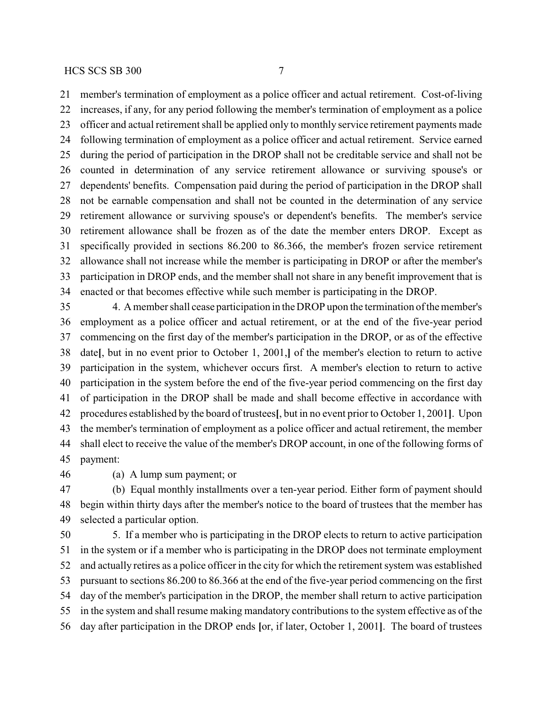member's termination of employment as a police officer and actual retirement. Cost-of-living increases, if any, for any period following the member's termination of employment as a police officer and actual retirement shall be applied only to monthly service retirement payments made following termination of employment as a police officer and actual retirement. Service earned during the period of participation in the DROP shall not be creditable service and shall not be counted in determination of any service retirement allowance or surviving spouse's or dependents' benefits. Compensation paid during the period of participation in the DROP shall not be earnable compensation and shall not be counted in the determination of any service retirement allowance or surviving spouse's or dependent's benefits. The member's service retirement allowance shall be frozen as of the date the member enters DROP. Except as specifically provided in sections 86.200 to 86.366, the member's frozen service retirement allowance shall not increase while the member is participating in DROP or after the member's participation in DROP ends, and the member shall not share in any benefit improvement that is enacted or that becomes effective while such member is participating in the DROP.

 4. A member shall cease participation in the DROP upon the termination of the member's employment as a police officer and actual retirement, or at the end of the five-year period commencing on the first day of the member's participation in the DROP, or as of the effective date**[**, but in no event prior to October 1, 2001,**]** of the member's election to return to active participation in the system, whichever occurs first. A member's election to return to active participation in the system before the end of the five-year period commencing on the first day of participation in the DROP shall be made and shall become effective in accordance with procedures established by the board of trustees**[**, but in no event prior to October 1, 2001**]**. Upon the member's termination of employment as a police officer and actual retirement, the member shall elect to receive the value of the member's DROP account, in one of the following forms of payment:

(a) A lump sum payment; or

 (b) Equal monthly installments over a ten-year period. Either form of payment should begin within thirty days after the member's notice to the board of trustees that the member has selected a particular option.

 5. If a member who is participating in the DROP elects to return to active participation in the system or if a member who is participating in the DROP does not terminate employment and actually retires as a police officer in the city for which the retirement system was established pursuant to sections 86.200 to 86.366 at the end of the five-year period commencing on the first day of the member's participation in the DROP, the member shall return to active participation in the system and shall resume making mandatory contributions to the system effective as of the day after participation in the DROP ends **[**or, if later, October 1, 2001**]**. The board of trustees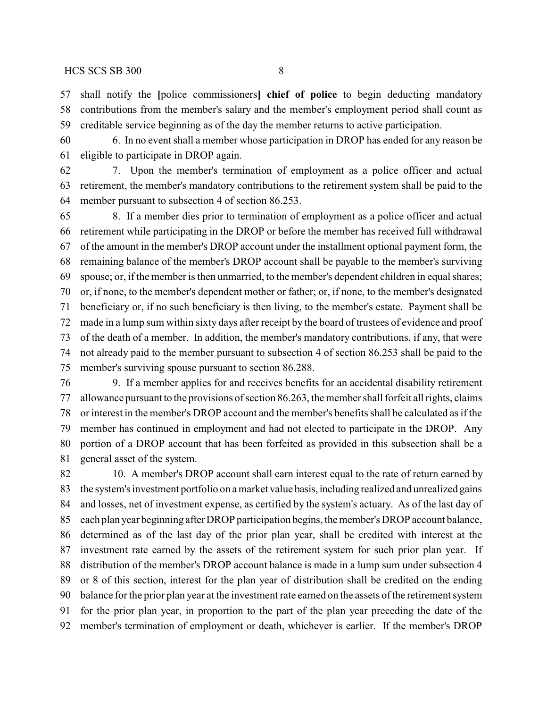shall notify the **[**police commissioners**] chief of police** to begin deducting mandatory contributions from the member's salary and the member's employment period shall count as creditable service beginning as of the day the member returns to active participation.

 6. In no event shall a member whose participation in DROP has ended for any reason be eligible to participate in DROP again.

 7. Upon the member's termination of employment as a police officer and actual retirement, the member's mandatory contributions to the retirement system shall be paid to the member pursuant to subsection 4 of section 86.253.

 8. If a member dies prior to termination of employment as a police officer and actual retirement while participating in the DROP or before the member has received full withdrawal of the amount in the member's DROP account under the installment optional payment form, the remaining balance of the member's DROP account shall be payable to the member's surviving spouse; or, if the member is then unmarried, to the member's dependent children in equal shares; or, if none, to the member's dependent mother or father; or, if none, to the member's designated beneficiary or, if no such beneficiary is then living, to the member's estate. Payment shall be made in a lump sum within sixty days after receipt by the board of trustees of evidence and proof of the death of a member. In addition, the member's mandatory contributions, if any, that were not already paid to the member pursuant to subsection 4 of section 86.253 shall be paid to the member's surviving spouse pursuant to section 86.288.

 9. If a member applies for and receives benefits for an accidental disability retirement allowance pursuant to the provisions of section 86.263, the member shall forfeit all rights, claims or interest in the member's DROP account and the member's benefits shall be calculated as if the member has continued in employment and had not elected to participate in the DROP. Any portion of a DROP account that has been forfeited as provided in this subsection shall be a general asset of the system.

82 10. A member's DROP account shall earn interest equal to the rate of return earned by 83 the system's investment portfolio on a market value basis, including realized and unrealized gains and losses, net of investment expense, as certified by the system's actuary. As of the last day of each plan year beginning after DROP participation begins, the member's DROP account balance, determined as of the last day of the prior plan year, shall be credited with interest at the investment rate earned by the assets of the retirement system for such prior plan year. If distribution of the member's DROP account balance is made in a lump sum under subsection 4 or 8 of this section, interest for the plan year of distribution shall be credited on the ending balance for the prior plan year at the investment rate earned on the assets of the retirement system for the prior plan year, in proportion to the part of the plan year preceding the date of the member's termination of employment or death, whichever is earlier. If the member's DROP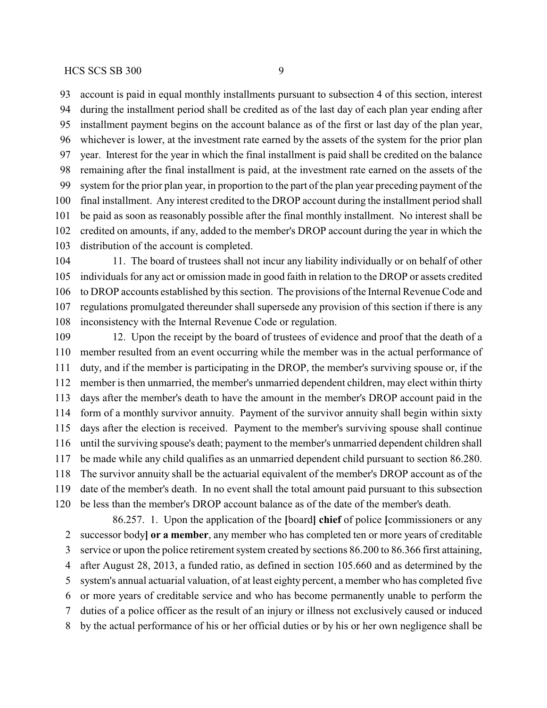account is paid in equal monthly installments pursuant to subsection 4 of this section, interest during the installment period shall be credited as of the last day of each plan year ending after installment payment begins on the account balance as of the first or last day of the plan year, whichever is lower, at the investment rate earned by the assets of the system for the prior plan year. Interest for the year in which the final installment is paid shall be credited on the balance remaining after the final installment is paid, at the investment rate earned on the assets of the system for the prior plan year, in proportion to the part of the plan year preceding payment of the final installment. Any interest credited to the DROP account during the installment period shall be paid as soon as reasonably possible after the final monthly installment. No interest shall be credited on amounts, if any, added to the member's DROP account during the year in which the distribution of the account is completed.

 11. The board of trustees shall not incur any liability individually or on behalf of other individuals for any act or omission made in good faith in relation to the DROP or assets credited to DROP accounts established by this section. The provisions of the Internal Revenue Code and regulations promulgated thereunder shall supersede any provision of this section if there is any inconsistency with the Internal Revenue Code or regulation.

 12. Upon the receipt by the board of trustees of evidence and proof that the death of a member resulted from an event occurring while the member was in the actual performance of duty, and if the member is participating in the DROP, the member's surviving spouse or, if the member is then unmarried, the member's unmarried dependent children, may elect within thirty days after the member's death to have the amount in the member's DROP account paid in the form of a monthly survivor annuity. Payment of the survivor annuity shall begin within sixty days after the election is received. Payment to the member's surviving spouse shall continue until the surviving spouse's death; payment to the member's unmarried dependent children shall be made while any child qualifies as an unmarried dependent child pursuant to section 86.280. The survivor annuity shall be the actuarial equivalent of the member's DROP account as of the date of the member's death. In no event shall the total amount paid pursuant to this subsection be less than the member's DROP account balance as of the date of the member's death.

86.257. 1. Upon the application of the **[**board**] chief** of police **[**commissioners or any successor body**] or a member**, any member who has completed ten or more years of creditable service or upon the police retirement system created by sections 86.200 to 86.366 first attaining, after August 28, 2013, a funded ratio, as defined in section 105.660 and as determined by the system's annual actuarial valuation, of at least eighty percent, a member who has completed five or more years of creditable service and who has become permanently unable to perform the duties of a police officer as the result of an injury or illness not exclusively caused or induced by the actual performance of his or her official duties or by his or her own negligence shall be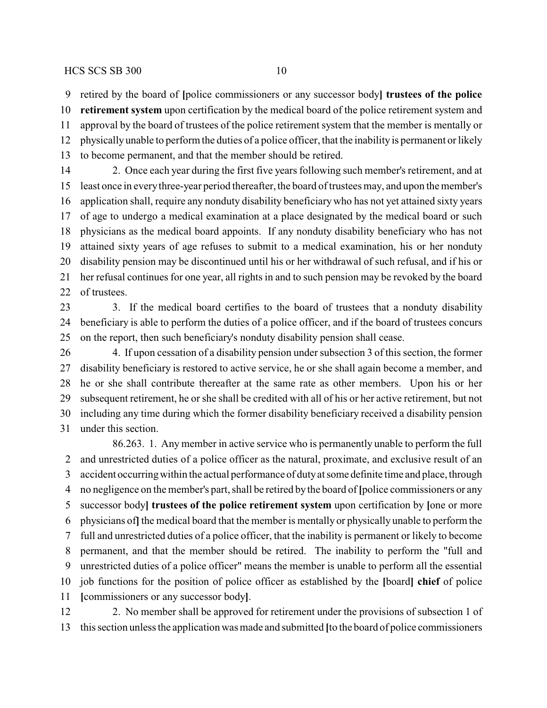retired by the board of **[**police commissioners or any successor body**] trustees of the police**

 **retirement system** upon certification by the medical board of the police retirement system and approval by the board of trustees of the police retirement system that the member is mentally or physicallyunable to perform the duties of a police officer, that the inability is permanent or likely to become permanent, and that the member should be retired.

 2. Once each year during the first five years following such member's retirement, and at least once in everythree-year period thereafter, the board of trustees may, and upon the member's application shall, require any nonduty disability beneficiary who has not yet attained sixty years of age to undergo a medical examination at a place designated by the medical board or such physicians as the medical board appoints. If any nonduty disability beneficiary who has not attained sixty years of age refuses to submit to a medical examination, his or her nonduty disability pension may be discontinued until his or her withdrawal of such refusal, and if his or her refusal continues for one year, all rights in and to such pension may be revoked by the board of trustees.

23 3. If the medical board certifies to the board of trustees that a nonduty disability beneficiary is able to perform the duties of a police officer, and if the board of trustees concurs on the report, then such beneficiary's nonduty disability pension shall cease.

 4. If upon cessation of a disability pension under subsection 3 of this section, the former disability beneficiary is restored to active service, he or she shall again become a member, and he or she shall contribute thereafter at the same rate as other members. Upon his or her subsequent retirement, he or she shall be credited with all of his or her active retirement, but not including any time during which the former disability beneficiary received a disability pension under this section.

86.263. 1. Any member in active service who is permanently unable to perform the full and unrestricted duties of a police officer as the natural, proximate, and exclusive result of an accident occurringwithin the actual performance of dutyat some definite time and place, through no negligence on the member's part, shall be retired bythe board of **[**police commissioners or any successor body**] trustees of the police retirement system** upon certification by **[**one or more physicians of**]**the medical board that the member is mentally or physically unable to perform the full and unrestricted duties of a police officer, that the inability is permanent or likely to become permanent, and that the member should be retired. The inability to perform the "full and unrestricted duties of a police officer" means the member is unable to perform all the essential job functions for the position of police officer as established by the **[**board**] chief** of police **[**commissioners or any successor body**]**.

 2. No member shall be approved for retirement under the provisions of subsection 1 of this section unless the application was made and submitted **[**to the board of police commissioners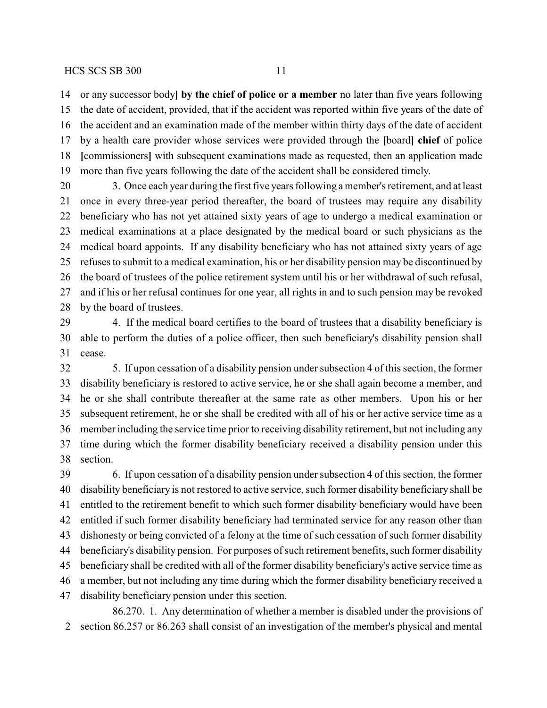or any successor body**] by the chief of police or a member** no later than five years following the date of accident, provided, that if the accident was reported within five years of the date of the accident and an examination made of the member within thirty days of the date of accident by a health care provider whose services were provided through the **[**board**] chief** of police **[**commissioners**]** with subsequent examinations made as requested, then an application made more than five years following the date of the accident shall be considered timely.

 3. Once each year during the first five years following a member's retirement, and at least once in every three-year period thereafter, the board of trustees may require any disability beneficiary who has not yet attained sixty years of age to undergo a medical examination or medical examinations at a place designated by the medical board or such physicians as the medical board appoints. If any disability beneficiary who has not attained sixty years of age refuses to submit to a medical examination, his or her disability pension may be discontinued by the board of trustees of the police retirement system until his or her withdrawal of such refusal, and if his or her refusal continues for one year, all rights in and to such pension may be revoked by the board of trustees.

 4. If the medical board certifies to the board of trustees that a disability beneficiary is able to perform the duties of a police officer, then such beneficiary's disability pension shall cease.

 5. If upon cessation of a disability pension under subsection 4 of this section, the former disability beneficiary is restored to active service, he or she shall again become a member, and he or she shall contribute thereafter at the same rate as other members. Upon his or her subsequent retirement, he or she shall be credited with all of his or her active service time as a member including the service time prior to receiving disability retirement, but not including any time during which the former disability beneficiary received a disability pension under this section.

 6. If upon cessation of a disability pension under subsection 4 of this section, the former disability beneficiary is not restored to active service, such former disability beneficiary shall be entitled to the retirement benefit to which such former disability beneficiary would have been entitled if such former disability beneficiary had terminated service for any reason other than dishonesty or being convicted of a felony at the time of such cessation of such former disability beneficiary's disability pension. For purposes of such retirement benefits, such former disability beneficiary shall be credited with all of the former disability beneficiary's active service time as a member, but not including any time during which the former disability beneficiary received a disability beneficiary pension under this section.

86.270. 1. Any determination of whether a member is disabled under the provisions of section 86.257 or 86.263 shall consist of an investigation of the member's physical and mental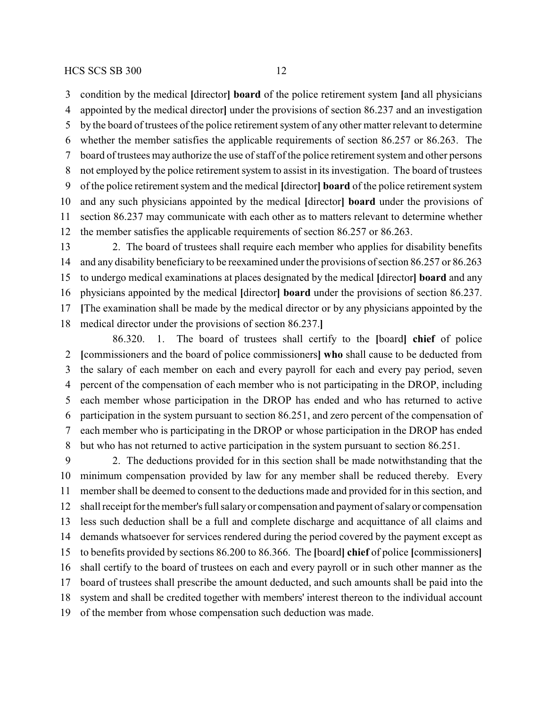condition by the medical **[**director**] board** of the police retirement system **[**and all physicians appointed by the medical director**]** under the provisions of section 86.237 and an investigation by the board of trustees of the police retirement system of any other matter relevant to determine whether the member satisfies the applicable requirements of section 86.257 or 86.263. The board of trustees may authorize the use of staff of the police retirement system and other persons not employed by the police retirement system to assist in its investigation. The board of trustees of the police retirement system and the medical **[**director**] board** of the police retirement system and any such physicians appointed by the medical **[**director**] board** under the provisions of section 86.237 may communicate with each other as to matters relevant to determine whether the member satisfies the applicable requirements of section 86.257 or 86.263.

 2. The board of trustees shall require each member who applies for disability benefits and any disability beneficiary to be reexamined under the provisions of section 86.257 or 86.263 to undergo medical examinations at places designated by the medical **[**director**] board** and any physicians appointed by the medical **[**director**] board** under the provisions of section 86.237. **[**The examination shall be made by the medical director or by any physicians appointed by the medical director under the provisions of section 86.237.**]**

86.320. 1. The board of trustees shall certify to the **[**board**] chief** of police **[**commissioners and the board of police commissioners**] who** shall cause to be deducted from the salary of each member on each and every payroll for each and every pay period, seven percent of the compensation of each member who is not participating in the DROP, including each member whose participation in the DROP has ended and who has returned to active participation in the system pursuant to section 86.251, and zero percent of the compensation of each member who is participating in the DROP or whose participation in the DROP has ended but who has not returned to active participation in the system pursuant to section 86.251.

 2. The deductions provided for in this section shall be made notwithstanding that the minimum compensation provided by law for any member shall be reduced thereby. Every member shall be deemed to consent to the deductions made and provided for in this section, and shall receipt for the member's full salaryor compensation and payment of salaryor compensation less such deduction shall be a full and complete discharge and acquittance of all claims and demands whatsoever for services rendered during the period covered by the payment except as to benefits provided by sections 86.200 to 86.366. The **[**board**] chief** of police **[**commissioners**]** shall certify to the board of trustees on each and every payroll or in such other manner as the board of trustees shall prescribe the amount deducted, and such amounts shall be paid into the system and shall be credited together with members' interest thereon to the individual account of the member from whose compensation such deduction was made.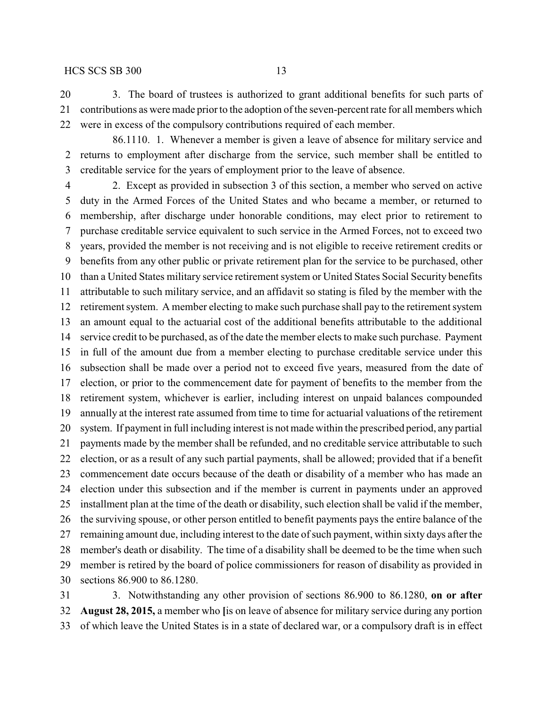3. The board of trustees is authorized to grant additional benefits for such parts of contributions as were made prior to the adoption of the seven-percent rate for all members which were in excess of the compulsory contributions required of each member.

86.1110. 1. Whenever a member is given a leave of absence for military service and returns to employment after discharge from the service, such member shall be entitled to creditable service for the years of employment prior to the leave of absence.

 2. Except as provided in subsection 3 of this section, a member who served on active duty in the Armed Forces of the United States and who became a member, or returned to membership, after discharge under honorable conditions, may elect prior to retirement to purchase creditable service equivalent to such service in the Armed Forces, not to exceed two years, provided the member is not receiving and is not eligible to receive retirement credits or benefits from any other public or private retirement plan for the service to be purchased, other than a United States military service retirement system or United States Social Security benefits attributable to such military service, and an affidavit so stating is filed by the member with the retirement system. A member electing to make such purchase shall pay to the retirement system an amount equal to the actuarial cost of the additional benefits attributable to the additional service credit to be purchased, as of the date the member elects to make such purchase. Payment in full of the amount due from a member electing to purchase creditable service under this subsection shall be made over a period not to exceed five years, measured from the date of election, or prior to the commencement date for payment of benefits to the member from the retirement system, whichever is earlier, including interest on unpaid balances compounded annually at the interest rate assumed from time to time for actuarial valuations of the retirement system. If payment in full including interest is not made within the prescribed period, any partial payments made by the member shall be refunded, and no creditable service attributable to such election, or as a result of any such partial payments, shall be allowed; provided that if a benefit commencement date occurs because of the death or disability of a member who has made an election under this subsection and if the member is current in payments under an approved installment plan at the time of the death or disability, such election shall be valid if the member, the surviving spouse, or other person entitled to benefit payments pays the entire balance of the remaining amount due, including interest to the date of such payment, within sixty days after the member's death or disability. The time of a disability shall be deemed to be the time when such member is retired by the board of police commissioners for reason of disability as provided in sections 86.900 to 86.1280.

 3. Notwithstanding any other provision of sections 86.900 to 86.1280, **on or after August 28, 2015,** a member who **[**is on leave of absence for military service during any portion of which leave the United States is in a state of declared war, or a compulsory draft is in effect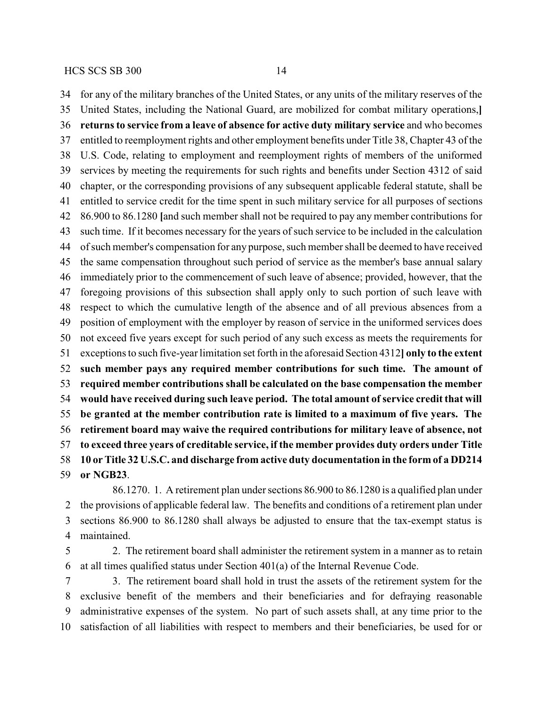for any of the military branches of the United States, or any units of the military reserves of the United States, including the National Guard, are mobilized for combat military operations,**] returns to service from a leave of absence for active duty military service** and who becomes entitled to reemployment rights and other employment benefits under Title 38, Chapter 43 of the U.S. Code, relating to employment and reemployment rights of members of the uniformed services by meeting the requirements for such rights and benefits under Section 4312 of said chapter, or the corresponding provisions of any subsequent applicable federal statute, shall be entitled to service credit for the time spent in such military service for all purposes of sections 86.900 to 86.1280 **[**and such member shall not be required to pay any member contributions for such time. If it becomes necessary for the years of such service to be included in the calculation of such member's compensation for any purpose, such member shall be deemed to have received the same compensation throughout such period of service as the member's base annual salary immediately prior to the commencement of such leave of absence; provided, however, that the foregoing provisions of this subsection shall apply only to such portion of such leave with respect to which the cumulative length of the absence and of all previous absences from a position of employment with the employer by reason of service in the uniformed services does not exceed five years except for such period of any such excess as meets the requirements for exceptions to such five-year limitation set forth in the aforesaid Section 4312**] only to the extent such member pays any required member contributions for such time. The amount of required member contributions shall be calculated on the base compensation the member would have received during such leave period. The total amount of service credit that will be granted at the member contribution rate is limited to a maximum of five years. The retirement board may waive the required contributions for military leave of absence, not to exceed three years of creditable service, if the member provides duty orders under Title 10 or Title 32 U.S.C. and discharge from active duty documentation in the form of a DD214 or NGB23**.

86.1270. 1. A retirement plan under sections 86.900 to 86.1280 is a qualified plan under the provisions of applicable federal law. The benefits and conditions of a retirement plan under sections 86.900 to 86.1280 shall always be adjusted to ensure that the tax-exempt status is maintained.

 2. The retirement board shall administer the retirement system in a manner as to retain at all times qualified status under Section 401(a) of the Internal Revenue Code.

 3. The retirement board shall hold in trust the assets of the retirement system for the exclusive benefit of the members and their beneficiaries and for defraying reasonable administrative expenses of the system. No part of such assets shall, at any time prior to the satisfaction of all liabilities with respect to members and their beneficiaries, be used for or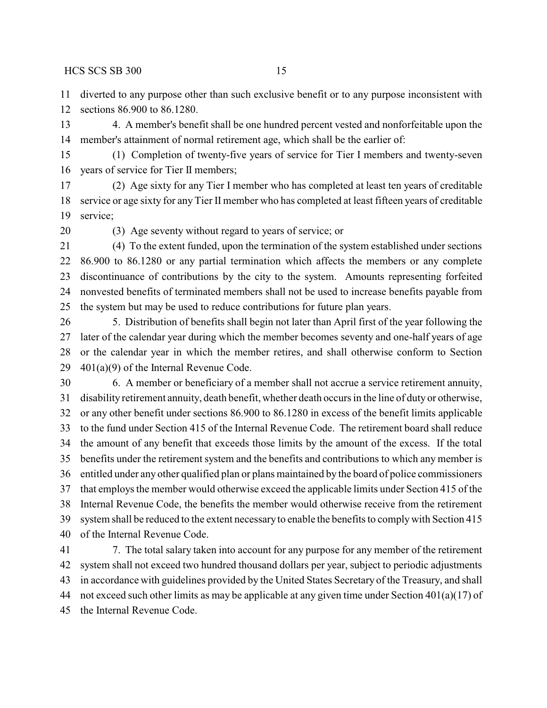diverted to any purpose other than such exclusive benefit or to any purpose inconsistent with sections 86.900 to 86.1280.

 4. A member's benefit shall be one hundred percent vested and nonforfeitable upon the member's attainment of normal retirement age, which shall be the earlier of:

 (1) Completion of twenty-five years of service for Tier I members and twenty-seven years of service for Tier II members;

 (2) Age sixty for any Tier I member who has completed at least ten years of creditable service or age sixty for any Tier II member who has completed at least fifteen years of creditable service;

(3) Age seventy without regard to years of service; or

 (4) To the extent funded, upon the termination of the system established under sections 86.900 to 86.1280 or any partial termination which affects the members or any complete discontinuance of contributions by the city to the system. Amounts representing forfeited nonvested benefits of terminated members shall not be used to increase benefits payable from the system but may be used to reduce contributions for future plan years.

 5. Distribution of benefits shall begin not later than April first of the year following the later of the calendar year during which the member becomes seventy and one-half years of age or the calendar year in which the member retires, and shall otherwise conform to Section  $401(a)(9)$  of the Internal Revenue Code.

 6. A member or beneficiary of a member shall not accrue a service retirement annuity, disability retirement annuity, death benefit, whether death occurs in the line of duty or otherwise, or any other benefit under sections 86.900 to 86.1280 in excess of the benefit limits applicable to the fund under Section 415 of the Internal Revenue Code. The retirement board shall reduce the amount of any benefit that exceeds those limits by the amount of the excess. If the total benefits under the retirement system and the benefits and contributions to which any member is entitled under any other qualified plan or plans maintained by the board of police commissioners that employs the member would otherwise exceed the applicable limits under Section 415 of the Internal Revenue Code, the benefits the member would otherwise receive from the retirement system shall be reduced to the extent necessaryto enable the benefits to complywith Section 415 of the Internal Revenue Code.

 7. The total salary taken into account for any purpose for any member of the retirement system shall not exceed two hundred thousand dollars per year, subject to periodic adjustments in accordance with guidelines provided by the United States Secretary of the Treasury, and shall not exceed such other limits as may be applicable at any given time under Section 401(a)(17) of the Internal Revenue Code.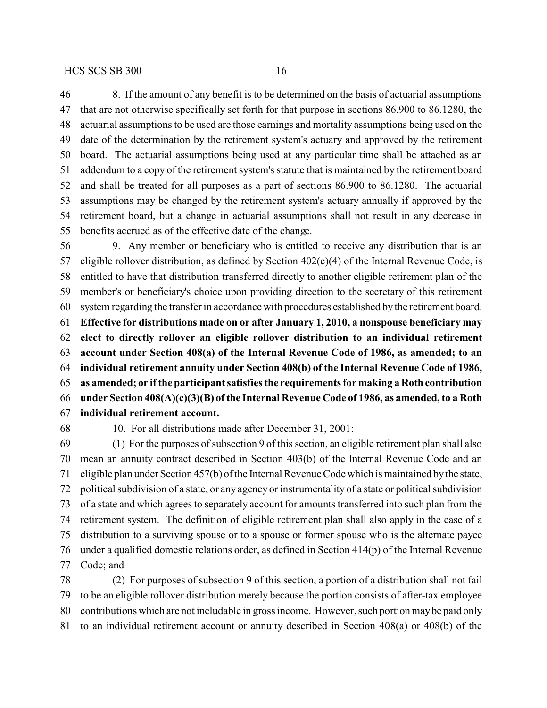8. If the amount of any benefit is to be determined on the basis of actuarial assumptions that are not otherwise specifically set forth for that purpose in sections 86.900 to 86.1280, the actuarial assumptions to be used are those earnings and mortality assumptions being used on the date of the determination by the retirement system's actuary and approved by the retirement board. The actuarial assumptions being used at any particular time shall be attached as an addendum to a copy of the retirement system's statute that is maintained by the retirement board and shall be treated for all purposes as a part of sections 86.900 to 86.1280. The actuarial assumptions may be changed by the retirement system's actuary annually if approved by the retirement board, but a change in actuarial assumptions shall not result in any decrease in benefits accrued as of the effective date of the change.

 9. Any member or beneficiary who is entitled to receive any distribution that is an 57 eligible rollover distribution, as defined by Section  $402(c)(4)$  of the Internal Revenue Code, is entitled to have that distribution transferred directly to another eligible retirement plan of the member's or beneficiary's choice upon providing direction to the secretary of this retirement system regarding the transfer in accordance with procedures established by the retirement board. **Effective for distributions made on or after January 1, 2010, a nonspouse beneficiary may elect to directly rollover an eligible rollover distribution to an individual retirement account under Section 408(a) of the Internal Revenue Code of 1986, as amended; to an individual retirement annuity under Section 408(b) of the Internal Revenue Code of 1986, as amended; or ifthe participant satisfies the requirements for making a Roth contribution under Section 408(A)(c)(3)(B) of the Internal Revenue Code of 1986, as amended, to a Roth individual retirement account.**

10. For all distributions made after December 31, 2001:

 (1) For the purposes of subsection 9 of this section, an eligible retirement plan shall also mean an annuity contract described in Section 403(b) of the Internal Revenue Code and an eligible plan under Section 457(b) of the Internal Revenue Code which is maintained bythe state, political subdivision of a state, or any agency or instrumentality of a state or political subdivision of a state and which agrees to separately account for amounts transferred into such plan from the retirement system. The definition of eligible retirement plan shall also apply in the case of a distribution to a surviving spouse or to a spouse or former spouse who is the alternate payee under a qualified domestic relations order, as defined in Section 414(p) of the Internal Revenue Code; and

 (2) For purposes of subsection 9 of this section, a portion of a distribution shall not fail to be an eligible rollover distribution merely because the portion consists of after-tax employee contributions which are not includable in gross income. However, such portion maybe paid only to an individual retirement account or annuity described in Section 408(a) or 408(b) of the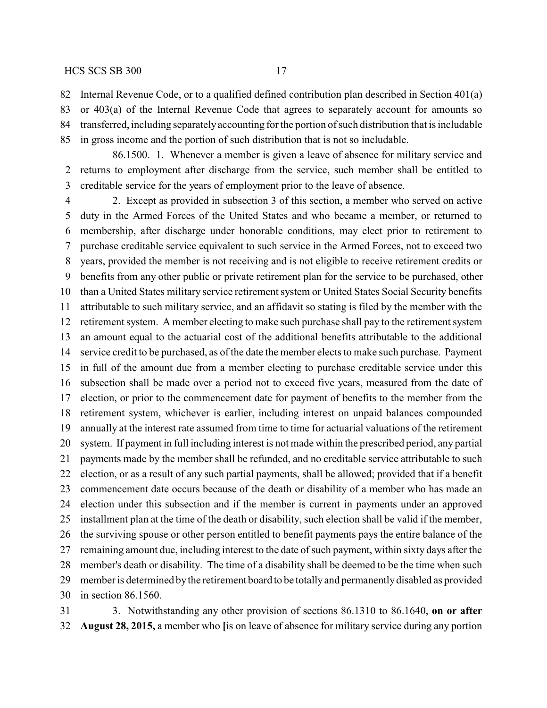Internal Revenue Code, or to a qualified defined contribution plan described in Section 401(a)

 or 403(a) of the Internal Revenue Code that agrees to separately account for amounts so transferred, including separatelyaccounting for the portion of such distribution that is includable in gross income and the portion of such distribution that is not so includable.

86.1500. 1. Whenever a member is given a leave of absence for military service and returns to employment after discharge from the service, such member shall be entitled to creditable service for the years of employment prior to the leave of absence.

 2. Except as provided in subsection 3 of this section, a member who served on active duty in the Armed Forces of the United States and who became a member, or returned to membership, after discharge under honorable conditions, may elect prior to retirement to purchase creditable service equivalent to such service in the Armed Forces, not to exceed two years, provided the member is not receiving and is not eligible to receive retirement credits or benefits from any other public or private retirement plan for the service to be purchased, other than a United States military service retirement system or United States Social Security benefits attributable to such military service, and an affidavit so stating is filed by the member with the retirement system. A member electing to make such purchase shall pay to the retirement system an amount equal to the actuarial cost of the additional benefits attributable to the additional service credit to be purchased, as of the date the member elects to make such purchase. Payment in full of the amount due from a member electing to purchase creditable service under this subsection shall be made over a period not to exceed five years, measured from the date of election, or prior to the commencement date for payment of benefits to the member from the retirement system, whichever is earlier, including interest on unpaid balances compounded annually at the interest rate assumed from time to time for actuarial valuations of the retirement system. If payment in full including interest is not made within the prescribed period, any partial payments made by the member shall be refunded, and no creditable service attributable to such election, or as a result of any such partial payments, shall be allowed; provided that if a benefit commencement date occurs because of the death or disability of a member who has made an election under this subsection and if the member is current in payments under an approved installment plan at the time of the death or disability, such election shall be valid if the member, the surviving spouse or other person entitled to benefit payments pays the entire balance of the 27 remaining amount due, including interest to the date of such payment, within sixty days after the member's death or disability. The time of a disability shall be deemed to be the time when such member is determined bythe retirement board to be totallyand permanentlydisabled as provided in section 86.1560.

 3. Notwithstanding any other provision of sections 86.1310 to 86.1640, **on or after August 28, 2015,** a member who **[**is on leave of absence for military service during any portion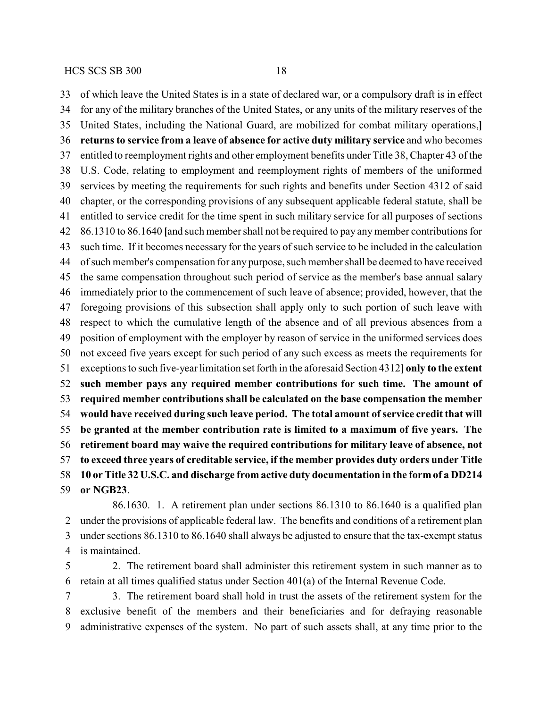of which leave the United States is in a state of declared war, or a compulsory draft is in effect for any of the military branches of the United States, or any units of the military reserves of the United States, including the National Guard, are mobilized for combat military operations,**] returns to service from a leave of absence for active duty military service** and who becomes entitled to reemployment rights and other employment benefits under Title 38, Chapter 43 of the U.S. Code, relating to employment and reemployment rights of members of the uniformed services by meeting the requirements for such rights and benefits under Section 4312 of said chapter, or the corresponding provisions of any subsequent applicable federal statute, shall be entitled to service credit for the time spent in such military service for all purposes of sections 86.1310 to 86.1640 **[**and such member shall not be required to pay anymember contributions for such time. If it becomes necessary for the years of such service to be included in the calculation of such member's compensation for any purpose, such member shall be deemed to have received the same compensation throughout such period of service as the member's base annual salary immediately prior to the commencement of such leave of absence; provided, however, that the foregoing provisions of this subsection shall apply only to such portion of such leave with respect to which the cumulative length of the absence and of all previous absences from a position of employment with the employer by reason of service in the uniformed services does not exceed five years except for such period of any such excess as meets the requirements for exceptions to such five-year limitation set forth in the aforesaid Section 4312**] only to the extent such member pays any required member contributions for such time. The amount of required member contributions shall be calculated on the base compensation the member would have received during such leave period. The total amount of service credit that will be granted at the member contribution rate is limited to a maximum of five years. The retirement board may waive the required contributions for military leave of absence, not to exceed three years of creditable service, if the member provides duty orders under Title 10 or Title 32 U.S.C. and discharge from active duty documentation in the form of a DD214 or NGB23**.

86.1630. 1. A retirement plan under sections 86.1310 to 86.1640 is a qualified plan under the provisions of applicable federal law. The benefits and conditions of a retirement plan under sections 86.1310 to 86.1640 shall always be adjusted to ensure that the tax-exempt status is maintained.

 2. The retirement board shall administer this retirement system in such manner as to retain at all times qualified status under Section 401(a) of the Internal Revenue Code.

 3. The retirement board shall hold in trust the assets of the retirement system for the exclusive benefit of the members and their beneficiaries and for defraying reasonable administrative expenses of the system. No part of such assets shall, at any time prior to the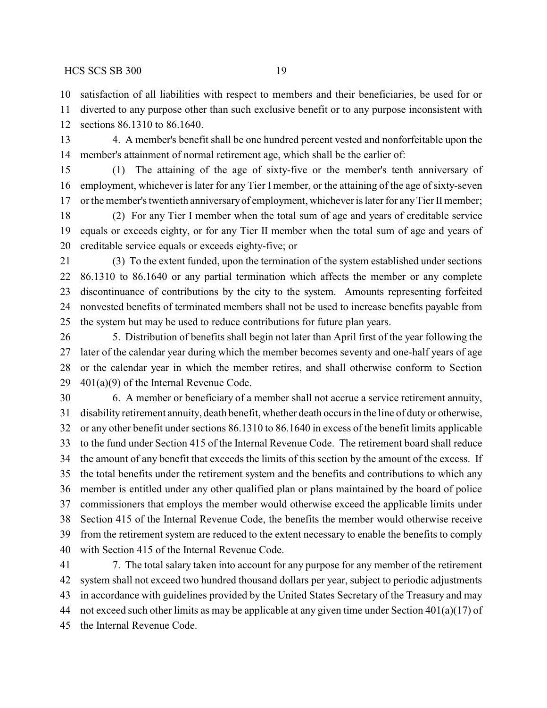satisfaction of all liabilities with respect to members and their beneficiaries, be used for or

 diverted to any purpose other than such exclusive benefit or to any purpose inconsistent with sections 86.1310 to 86.1640.

 4. A member's benefit shall be one hundred percent vested and nonforfeitable upon the member's attainment of normal retirement age, which shall be the earlier of:

 (1) The attaining of the age of sixty-five or the member's tenth anniversary of employment, whichever is later for any Tier I member, or the attaining of the age of sixty-seven or the member's twentieth anniversaryof employment, whichever is later for anyTier IImember;

 (2) For any Tier I member when the total sum of age and years of creditable service equals or exceeds eighty, or for any Tier II member when the total sum of age and years of creditable service equals or exceeds eighty-five; or

 (3) To the extent funded, upon the termination of the system established under sections 86.1310 to 86.1640 or any partial termination which affects the member or any complete discontinuance of contributions by the city to the system. Amounts representing forfeited nonvested benefits of terminated members shall not be used to increase benefits payable from the system but may be used to reduce contributions for future plan years.

 5. Distribution of benefits shall begin not later than April first of the year following the later of the calendar year during which the member becomes seventy and one-half years of age or the calendar year in which the member retires, and shall otherwise conform to Section  $401(a)(9)$  of the Internal Revenue Code.

 6. A member or beneficiary of a member shall not accrue a service retirement annuity, disability retirement annuity, death benefit, whether death occurs in the line of duty or otherwise, or any other benefit under sections 86.1310 to 86.1640 in excess of the benefit limits applicable to the fund under Section 415 of the Internal Revenue Code. The retirement board shall reduce the amount of any benefit that exceeds the limits of this section by the amount of the excess. If the total benefits under the retirement system and the benefits and contributions to which any member is entitled under any other qualified plan or plans maintained by the board of police commissioners that employs the member would otherwise exceed the applicable limits under Section 415 of the Internal Revenue Code, the benefits the member would otherwise receive from the retirement system are reduced to the extent necessary to enable the benefits to comply with Section 415 of the Internal Revenue Code.

 7. The total salary taken into account for any purpose for any member of the retirement system shall not exceed two hundred thousand dollars per year, subject to periodic adjustments in accordance with guidelines provided by the United States Secretary of the Treasury and may 44 not exceed such other limits as may be applicable at any given time under Section  $401(a)(17)$  of the Internal Revenue Code.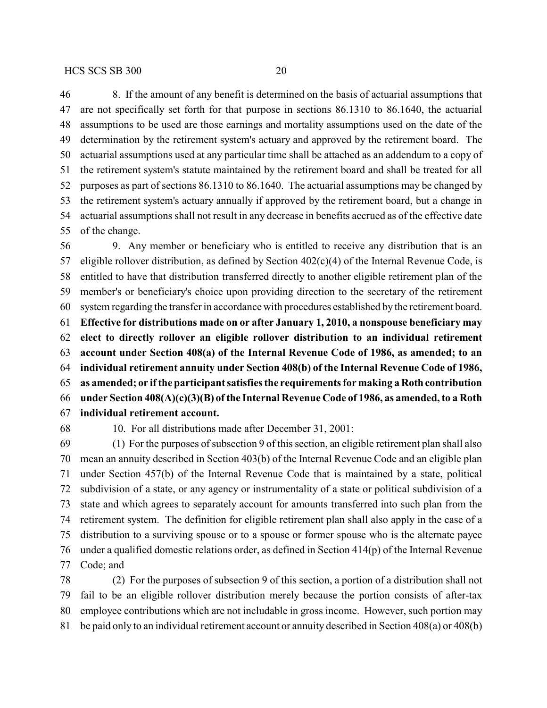8. If the amount of any benefit is determined on the basis of actuarial assumptions that are not specifically set forth for that purpose in sections 86.1310 to 86.1640, the actuarial assumptions to be used are those earnings and mortality assumptions used on the date of the determination by the retirement system's actuary and approved by the retirement board. The actuarial assumptions used at any particular time shall be attached as an addendum to a copy of the retirement system's statute maintained by the retirement board and shall be treated for all purposes as part of sections 86.1310 to 86.1640. The actuarial assumptions may be changed by the retirement system's actuary annually if approved by the retirement board, but a change in actuarial assumptions shall not result in any decrease in benefits accrued as of the effective date of the change.

 9. Any member or beneficiary who is entitled to receive any distribution that is an 57 eligible rollover distribution, as defined by Section  $402(c)(4)$  of the Internal Revenue Code, is entitled to have that distribution transferred directly to another eligible retirement plan of the member's or beneficiary's choice upon providing direction to the secretary of the retirement system regarding the transfer in accordance with procedures established by the retirement board. **Effective for distributions made on or after January 1, 2010, a nonspouse beneficiary may elect to directly rollover an eligible rollover distribution to an individual retirement account under Section 408(a) of the Internal Revenue Code of 1986, as amended; to an individual retirement annuity under Section 408(b) of the Internal Revenue Code of 1986, as amended; or ifthe participant satisfies the requirements for making a Roth contribution under Section 408(A)(c)(3)(B) of the Internal Revenue Code of 1986, as amended, to a Roth individual retirement account.**

10. For all distributions made after December 31, 2001:

 (1) For the purposes of subsection 9 of this section, an eligible retirement plan shall also mean an annuity described in Section 403(b) of the Internal Revenue Code and an eligible plan under Section 457(b) of the Internal Revenue Code that is maintained by a state, political subdivision of a state, or any agency or instrumentality of a state or political subdivision of a state and which agrees to separately account for amounts transferred into such plan from the retirement system. The definition for eligible retirement plan shall also apply in the case of a distribution to a surviving spouse or to a spouse or former spouse who is the alternate payee under a qualified domestic relations order, as defined in Section 414(p) of the Internal Revenue Code; and

 (2) For the purposes of subsection 9 of this section, a portion of a distribution shall not fail to be an eligible rollover distribution merely because the portion consists of after-tax employee contributions which are not includable in gross income. However, such portion may be paid only to an individual retirement account or annuity described in Section 408(a) or 408(b)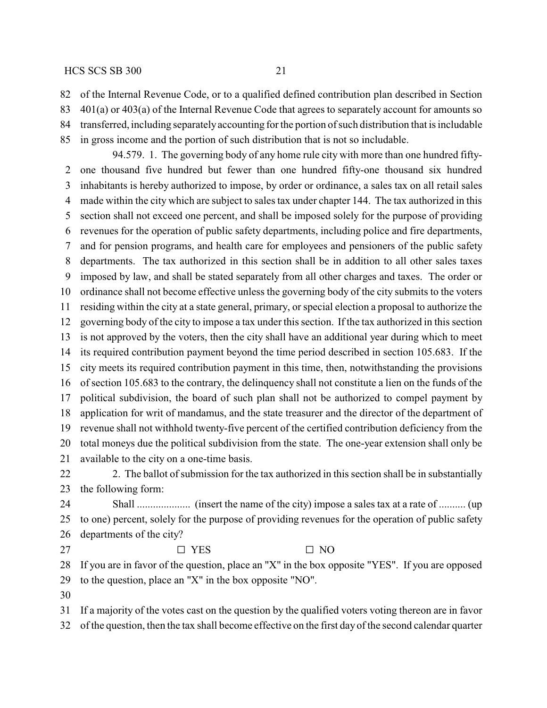of the Internal Revenue Code, or to a qualified defined contribution plan described in Section

401(a) or 403(a) of the Internal Revenue Code that agrees to separately account for amounts so

 transferred, including separatelyaccounting for the portion of such distribution that is includable in gross income and the portion of such distribution that is not so includable.

94.579. 1. The governing body of any home rule city with more than one hundred fifty- one thousand five hundred but fewer than one hundred fifty-one thousand six hundred inhabitants is hereby authorized to impose, by order or ordinance, a sales tax on all retail sales made within the city which are subject to sales tax under chapter 144. The tax authorized in this section shall not exceed one percent, and shall be imposed solely for the purpose of providing revenues for the operation of public safety departments, including police and fire departments, and for pension programs, and health care for employees and pensioners of the public safety departments. The tax authorized in this section shall be in addition to all other sales taxes imposed by law, and shall be stated separately from all other charges and taxes. The order or ordinance shall not become effective unless the governing body of the city submits to the voters residing within the city at a state general, primary, or special election a proposal to authorize the governing body of the city to impose a tax under this section. If the tax authorized in this section is not approved by the voters, then the city shall have an additional year during which to meet its required contribution payment beyond the time period described in section 105.683. If the city meets its required contribution payment in this time, then, notwithstanding the provisions of section 105.683 to the contrary, the delinquency shall not constitute a lien on the funds of the political subdivision, the board of such plan shall not be authorized to compel payment by application for writ of mandamus, and the state treasurer and the director of the department of revenue shall not withhold twenty-five percent of the certified contribution deficiency from the total moneys due the political subdivision from the state. The one-year extension shall only be available to the city on a one-time basis.

22 2. The ballot of submission for the tax authorized in this section shall be in substantially the following form:

 Shall .................... (insert the name of the city) impose a sales tax at a rate of .......... (up to one) percent, solely for the purpose of providing revenues for the operation of public safety departments of the city?

27  $\square$  YES  $\square$  NO

 If you are in favor of the question, place an "X" in the box opposite "YES". If you are opposed to the question, place an "X" in the box opposite "NO".

If a majority of the votes cast on the question by the qualified voters voting thereon are in favor

of the question, then the tax shall become effective on the first day of the second calendar quarter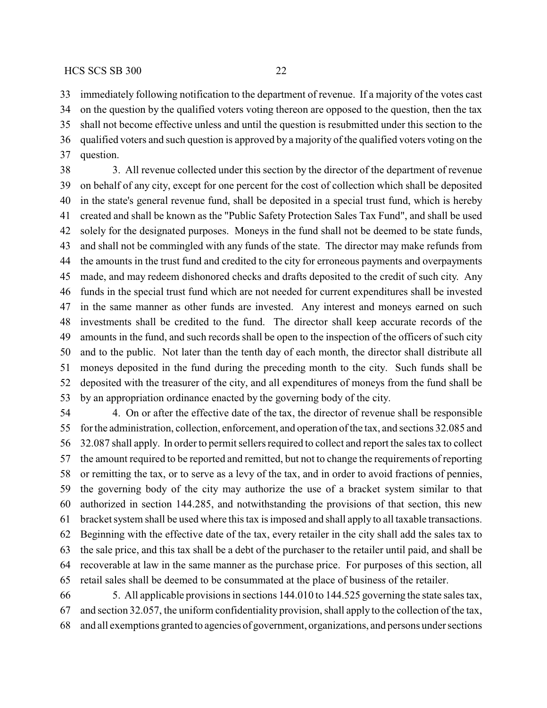immediately following notification to the department of revenue. If a majority of the votes cast on the question by the qualified voters voting thereon are opposed to the question, then the tax shall not become effective unless and until the question is resubmitted under this section to the qualified voters and such question is approved by a majority of the qualified voters voting on the question.

 3. All revenue collected under this section by the director of the department of revenue on behalf of any city, except for one percent for the cost of collection which shall be deposited in the state's general revenue fund, shall be deposited in a special trust fund, which is hereby created and shall be known as the "Public Safety Protection Sales Tax Fund", and shall be used solely for the designated purposes. Moneys in the fund shall not be deemed to be state funds, and shall not be commingled with any funds of the state. The director may make refunds from the amounts in the trust fund and credited to the city for erroneous payments and overpayments made, and may redeem dishonored checks and drafts deposited to the credit of such city. Any funds in the special trust fund which are not needed for current expenditures shall be invested in the same manner as other funds are invested. Any interest and moneys earned on such investments shall be credited to the fund. The director shall keep accurate records of the amounts in the fund, and such records shall be open to the inspection of the officers of such city and to the public. Not later than the tenth day of each month, the director shall distribute all moneys deposited in the fund during the preceding month to the city. Such funds shall be deposited with the treasurer of the city, and all expenditures of moneys from the fund shall be by an appropriation ordinance enacted by the governing body of the city.

 4. On or after the effective date of the tax, the director of revenue shall be responsible for the administration, collection, enforcement, and operation of the tax, and sections 32.085 and 32.087 shall apply. In order to permit sellers required to collect and report the sales tax to collect the amount required to be reported and remitted, but not to change the requirements of reporting or remitting the tax, or to serve as a levy of the tax, and in order to avoid fractions of pennies, the governing body of the city may authorize the use of a bracket system similar to that authorized in section 144.285, and notwithstanding the provisions of that section, this new bracket system shall be used where this tax is imposed and shall apply to all taxable transactions. Beginning with the effective date of the tax, every retailer in the city shall add the sales tax to the sale price, and this tax shall be a debt of the purchaser to the retailer until paid, and shall be recoverable at law in the same manner as the purchase price. For purposes of this section, all retail sales shall be deemed to be consummated at the place of business of the retailer.

 5. All applicable provisions in sections 144.010 to 144.525 governing the state sales tax, and section 32.057, the uniform confidentiality provision, shall apply to the collection of the tax, and all exemptions granted to agencies of government, organizations, and persons under sections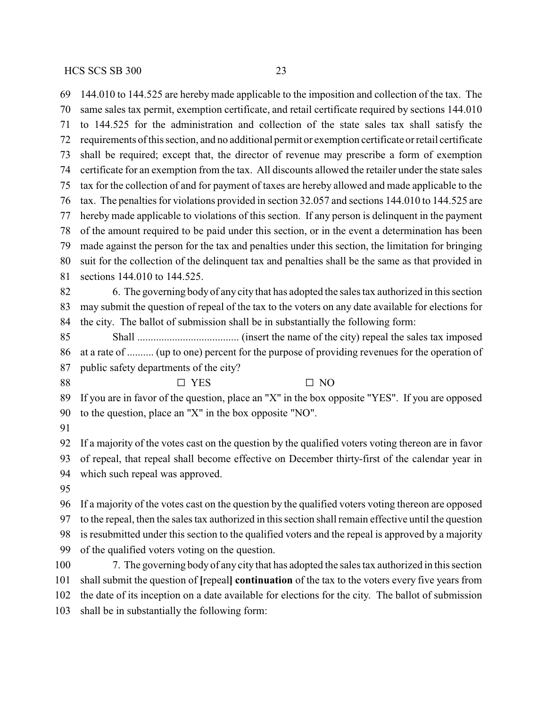144.010 to 144.525 are hereby made applicable to the imposition and collection of the tax. The same sales tax permit, exemption certificate, and retail certificate required by sections 144.010 to 144.525 for the administration and collection of the state sales tax shall satisfy the requirements of this section, and no additional permit or exemption certificate or retail certificate shall be required; except that, the director of revenue may prescribe a form of exemption certificate for an exemption from the tax. All discounts allowed the retailer under the state sales tax for the collection of and for payment of taxes are hereby allowed and made applicable to the tax. The penalties for violations provided in section 32.057 and sections 144.010 to 144.525 are hereby made applicable to violations of this section. If any person is delinquent in the payment of the amount required to be paid under this section, or in the event a determination has been made against the person for the tax and penalties under this section, the limitation for bringing suit for the collection of the delinquent tax and penalties shall be the same as that provided in sections 144.010 to 144.525. 6. The governing bodyof any city that has adopted the sales tax authorized in this section may submit the question of repeal of the tax to the voters on any date available for elections for the city. The ballot of submission shall be in substantially the following form: Shall ...................................... (insert the name of the city) repeal the sales tax imposed at a rate of .......... (up to one) percent for the purpose of providing revenues for the operation of public safety departments of the city?  $\square$  YES  $\square$  NO If you are in favor of the question, place an "X" in the box opposite "YES". If you are opposed to the question, place an "X" in the box opposite "NO". If a majority of the votes cast on the question by the qualified voters voting thereon are in favor of repeal, that repeal shall become effective on December thirty-first of the calendar year in which such repeal was approved. If a majority of the votes cast on the question by the qualified voters voting thereon are opposed to the repeal, then the sales tax authorized in this section shall remain effective until the question is resubmitted under this section to the qualified voters and the repeal is approved by a majority of the qualified voters voting on the question. 7. The governing body of any city that has adopted the sales tax authorized in this section shall submit the question of **[**repeal**] continuation** of the tax to the voters every five years from the date of its inception on a date available for elections for the city. The ballot of submission shall be in substantially the following form: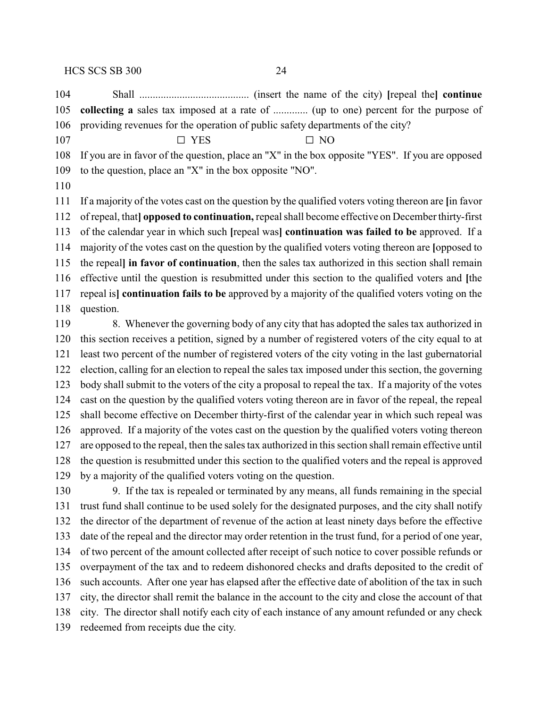$$
107 \qquad \qquad \Box \text{YES} \qquad \qquad \Box \text{NO}
$$

 If you are in favor of the question, place an "X" in the box opposite "YES". If you are opposed to the question, place an "X" in the box opposite "NO".

 If a majority of the votes cast on the question by the qualified voters voting thereon are **[**in favor of repeal, that**] opposed to continuation,** repeal shall become effective on December thirty-first of the calendar year in which such **[**repeal was**] continuation was failed to be** approved. If a majority of the votes cast on the question by the qualified voters voting thereon are **[**opposed to the repeal**] in favor of continuation**, then the sales tax authorized in this section shall remain effective until the question is resubmitted under this section to the qualified voters and **[**the repeal is**] continuation fails to be** approved by a majority of the qualified voters voting on the question.

 8. Whenever the governing body of any city that has adopted the sales tax authorized in this section receives a petition, signed by a number of registered voters of the city equal to at least two percent of the number of registered voters of the city voting in the last gubernatorial election, calling for an election to repeal the sales tax imposed under this section, the governing body shall submit to the voters of the city a proposal to repeal the tax. If a majority of the votes cast on the question by the qualified voters voting thereon are in favor of the repeal, the repeal shall become effective on December thirty-first of the calendar year in which such repeal was approved. If a majority of the votes cast on the question by the qualified voters voting thereon are opposed to the repeal, then the sales tax authorized in this section shall remain effective until the question is resubmitted under this section to the qualified voters and the repeal is approved by a majority of the qualified voters voting on the question.

 9. If the tax is repealed or terminated by any means, all funds remaining in the special trust fund shall continue to be used solely for the designated purposes, and the city shall notify the director of the department of revenue of the action at least ninety days before the effective date of the repeal and the director may order retention in the trust fund, for a period of one year, of two percent of the amount collected after receipt of such notice to cover possible refunds or overpayment of the tax and to redeem dishonored checks and drafts deposited to the credit of such accounts. After one year has elapsed after the effective date of abolition of the tax in such city, the director shall remit the balance in the account to the city and close the account of that city. The director shall notify each city of each instance of any amount refunded or any check redeemed from receipts due the city.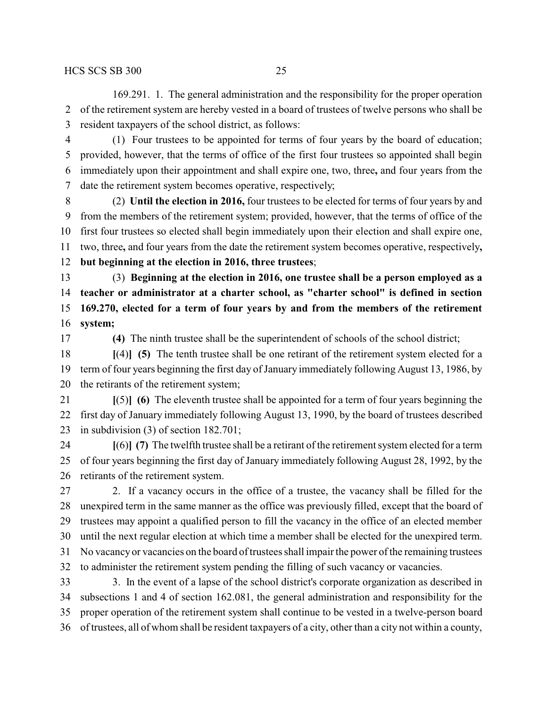169.291. 1. The general administration and the responsibility for the proper operation of the retirement system are hereby vested in a board of trustees of twelve persons who shall be resident taxpayers of the school district, as follows:

 (1) Four trustees to be appointed for terms of four years by the board of education; provided, however, that the terms of office of the first four trustees so appointed shall begin immediately upon their appointment and shall expire one, two, three**,** and four years from the date the retirement system becomes operative, respectively;

 (2) **Until the election in 2016,** four trustees to be elected for terms of four years by and from the members of the retirement system; provided, however, that the terms of office of the first four trustees so elected shall begin immediately upon their election and shall expire one, two, three**,** and four years from the date the retirement system becomes operative, respectively**, but beginning at the election in 2016, three trustees**;

 (3) **Beginning at the election in 2016, one trustee shall be a person employed as a teacher or administrator at a charter school, as "charter school" is defined in section 169.270, elected for a term of four years by and from the members of the retirement system;**

**(4)** The ninth trustee shall be the superintendent of schools of the school district;

 **[**(4)**] (5)** The tenth trustee shall be one retirant of the retirement system elected for a term of four years beginning the first day of January immediately following August 13, 1986, by the retirants of the retirement system;

 **[**(5)**] (6)** The eleventh trustee shall be appointed for a term of four years beginning the first day of January immediately following August 13, 1990, by the board of trustees described in subdivision (3) of section 182.701;

 **[**(6)**] (7)** The twelfth trustee shall be a retirant of the retirement system elected for a term of four years beginning the first day of January immediately following August 28, 1992, by the retirants of the retirement system.

 2. If a vacancy occurs in the office of a trustee, the vacancy shall be filled for the unexpired term in the same manner as the office was previously filled, except that the board of trustees may appoint a qualified person to fill the vacancy in the office of an elected member until the next regular election at which time a member shall be elected for the unexpired term. No vacancyor vacancies on the board of trustees shall impair the power of the remaining trustees to administer the retirement system pending the filling of such vacancy or vacancies. 3. In the event of a lapse of the school district's corporate organization as described in

 subsections 1 and 4 of section 162.081, the general administration and responsibility for the proper operation of the retirement system shall continue to be vested in a twelve-person board of trustees, all of whom shall be resident taxpayers of a city, other than a city not within a county,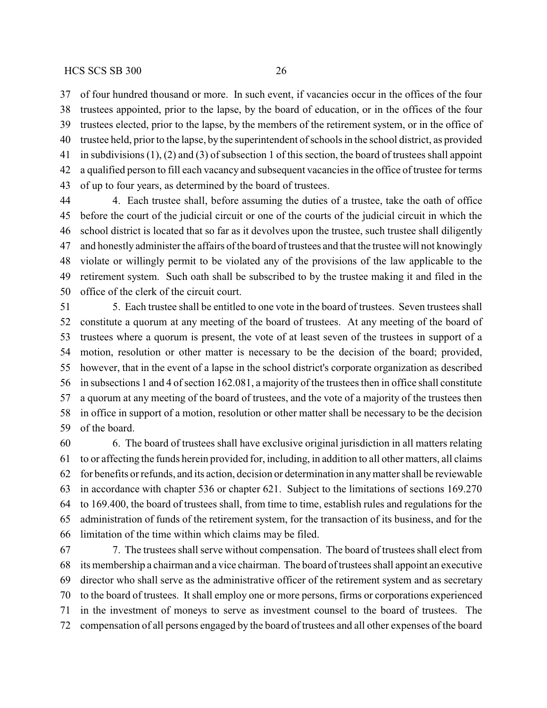of four hundred thousand or more. In such event, if vacancies occur in the offices of the four trustees appointed, prior to the lapse, by the board of education, or in the offices of the four trustees elected, prior to the lapse, by the members of the retirement system, or in the office of trustee held, prior to the lapse, by the superintendent of schools in the school district, as provided in subdivisions (1), (2) and (3) of subsection 1 of this section, the board of trustees shall appoint a qualified person to fill each vacancy and subsequent vacancies in the office of trustee for terms of up to four years, as determined by the board of trustees.

 4. Each trustee shall, before assuming the duties of a trustee, take the oath of office before the court of the judicial circuit or one of the courts of the judicial circuit in which the school district is located that so far as it devolves upon the trustee, such trustee shall diligently and honestly administer the affairs of the board of trustees and that the trustee will not knowingly violate or willingly permit to be violated any of the provisions of the law applicable to the retirement system. Such oath shall be subscribed to by the trustee making it and filed in the office of the clerk of the circuit court.

 5. Each trustee shall be entitled to one vote in the board of trustees. Seven trustees shall constitute a quorum at any meeting of the board of trustees. At any meeting of the board of trustees where a quorum is present, the vote of at least seven of the trustees in support of a motion, resolution or other matter is necessary to be the decision of the board; provided, however, that in the event of a lapse in the school district's corporate organization as described in subsections 1 and 4 of section 162.081, a majority of the trustees then in office shall constitute a quorum at any meeting of the board of trustees, and the vote of a majority of the trustees then in office in support of a motion, resolution or other matter shall be necessary to be the decision of the board.

 6. The board of trustees shall have exclusive original jurisdiction in all matters relating to or affecting the funds herein provided for, including, in addition to all other matters, all claims for benefits or refunds, and its action, decision or determination in anymatter shall be reviewable in accordance with chapter 536 or chapter 621. Subject to the limitations of sections 169.270 to 169.400, the board of trustees shall, from time to time, establish rules and regulations for the administration of funds of the retirement system, for the transaction of its business, and for the limitation of the time within which claims may be filed.

 7. The trustees shall serve without compensation. The board of trustees shall elect from its membership a chairman and a vice chairman. The board of trustees shall appoint an executive director who shall serve as the administrative officer of the retirement system and as secretary to the board of trustees. It shall employ one or more persons, firms or corporations experienced in the investment of moneys to serve as investment counsel to the board of trustees. The compensation of all persons engaged by the board of trustees and all other expenses of the board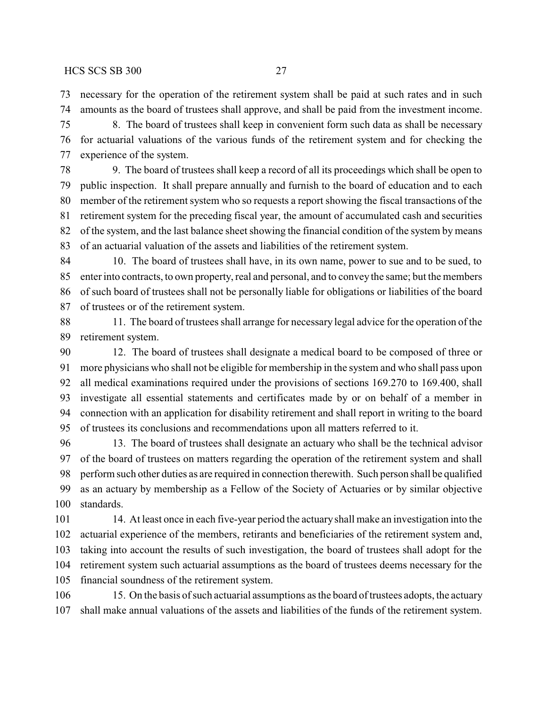necessary for the operation of the retirement system shall be paid at such rates and in such amounts as the board of trustees shall approve, and shall be paid from the investment income.

 8. The board of trustees shall keep in convenient form such data as shall be necessary for actuarial valuations of the various funds of the retirement system and for checking the experience of the system.

 9. The board of trustees shall keep a record of all its proceedings which shall be open to public inspection. It shall prepare annually and furnish to the board of education and to each member of the retirement system who so requests a report showing the fiscal transactions of the retirement system for the preceding fiscal year, the amount of accumulated cash and securities of the system, and the last balance sheet showing the financial condition of the system by means of an actuarial valuation of the assets and liabilities of the retirement system.

 10. The board of trustees shall have, in its own name, power to sue and to be sued, to enter into contracts, to own property, real and personal, and to convey the same; but the members of such board of trustees shall not be personally liable for obligations or liabilities of the board of trustees or of the retirement system.

 11. The board of trustees shall arrange for necessary legal advice for the operation of the retirement system.

 12. The board of trustees shall designate a medical board to be composed of three or more physicians who shall not be eligible for membership in the system and who shall pass upon all medical examinations required under the provisions of sections 169.270 to 169.400, shall investigate all essential statements and certificates made by or on behalf of a member in connection with an application for disability retirement and shall report in writing to the board of trustees its conclusions and recommendations upon all matters referred to it.

 13. The board of trustees shall designate an actuary who shall be the technical advisor of the board of trustees on matters regarding the operation of the retirement system and shall perform such other duties as are required in connection therewith. Such person shall be qualified as an actuary by membership as a Fellow of the Society of Actuaries or by similar objective standards.

 14. At least once in each five-year period the actuaryshall make an investigation into the actuarial experience of the members, retirants and beneficiaries of the retirement system and, taking into account the results of such investigation, the board of trustees shall adopt for the retirement system such actuarial assumptions as the board of trustees deems necessary for the financial soundness of the retirement system.

106 15. On the basis of such actuarial assumptions as the board of trustees adopts, the actuary shall make annual valuations of the assets and liabilities of the funds of the retirement system.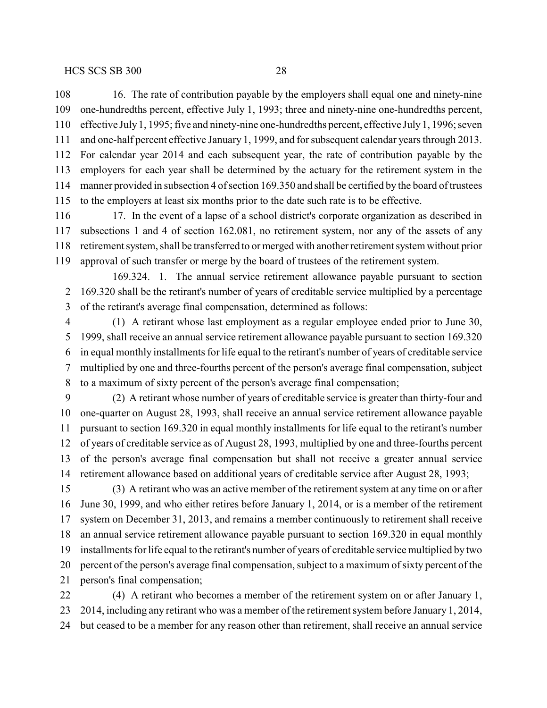16. The rate of contribution payable by the employers shall equal one and ninety-nine one-hundredths percent, effective July 1, 1993; three and ninety-nine one-hundredths percent, effective July1, 1995; five and ninety-nine one-hundredths percent, effective July1, 1996; seven and one-half percent effective January 1, 1999, and for subsequent calendar years through 2013. For calendar year 2014 and each subsequent year, the rate of contribution payable by the employers for each year shall be determined by the actuary for the retirement system in the manner provided in subsection 4 of section 169.350 and shall be certified by the board of trustees to the employers at least six months prior to the date such rate is to be effective.

116 17. In the event of a lapse of a school district's corporate organization as described in subsections 1 and 4 of section 162.081, no retirement system, nor any of the assets of any retirement system, shall be transferred to or merged with another retirement system without prior approval of such transfer or merge by the board of trustees of the retirement system.

169.324. 1. The annual service retirement allowance payable pursuant to section 169.320 shall be the retirant's number of years of creditable service multiplied by a percentage of the retirant's average final compensation, determined as follows:

 (1) A retirant whose last employment as a regular employee ended prior to June 30, 1999, shall receive an annual service retirement allowance payable pursuant to section 169.320 in equal monthly installments for life equal to the retirant's number of years of creditable service multiplied by one and three-fourths percent of the person's average final compensation, subject to a maximum of sixty percent of the person's average final compensation;

 (2) A retirant whose number of years of creditable service is greater than thirty-four and one-quarter on August 28, 1993, shall receive an annual service retirement allowance payable pursuant to section 169.320 in equal monthly installments for life equal to the retirant's number of years of creditable service as of August 28, 1993, multiplied by one and three-fourths percent of the person's average final compensation but shall not receive a greater annual service retirement allowance based on additional years of creditable service after August 28, 1993;

 (3) A retirant who was an active member of the retirement system at any time on or after June 30, 1999, and who either retires before January 1, 2014, or is a member of the retirement system on December 31, 2013, and remains a member continuously to retirement shall receive an annual service retirement allowance payable pursuant to section 169.320 in equal monthly installments for life equal to the retirant's number of years of creditable service multiplied by two percent of the person's average final compensation, subject to a maximum of sixty percent of the person's final compensation;

 (4) A retirant who becomes a member of the retirement system on or after January 1, 2014, including any retirant who was a member of the retirement system before January 1, 2014, but ceased to be a member for any reason other than retirement, shall receive an annual service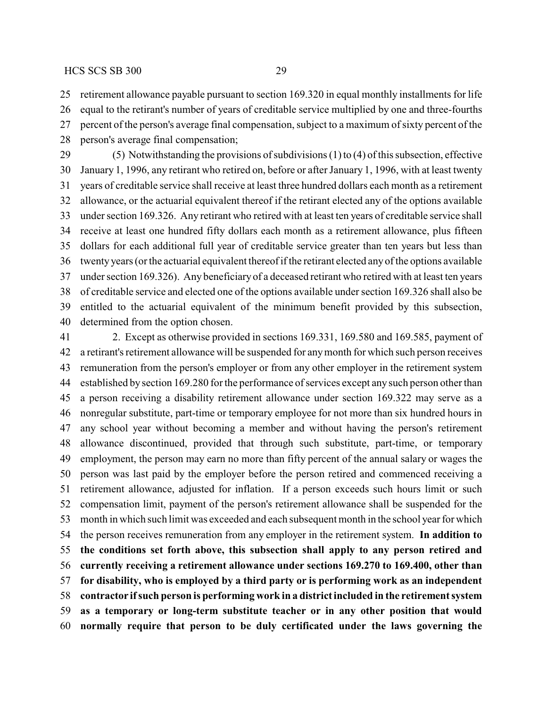retirement allowance payable pursuant to section 169.320 in equal monthly installments for life

 equal to the retirant's number of years of creditable service multiplied by one and three-fourths percent of the person's average final compensation, subject to a maximum of sixty percent of the

person's average final compensation;

 (5) Notwithstanding the provisions of subdivisions (1) to (4) of this subsection, effective January 1, 1996, any retirant who retired on, before or after January 1, 1996, with at least twenty years of creditable service shall receive at least three hundred dollars each month as a retirement allowance, or the actuarial equivalent thereof if the retirant elected any of the options available under section 169.326. Any retirant who retired with at least ten years of creditable service shall receive at least one hundred fifty dollars each month as a retirement allowance, plus fifteen dollars for each additional full year of creditable service greater than ten years but less than twenty years (or the actuarial equivalent thereof if the retirant elected any of the options available under section 169.326). Any beneficiaryof a deceased retirant who retired with at least ten years of creditable service and elected one of the options available under section 169.326 shall also be entitled to the actuarial equivalent of the minimum benefit provided by this subsection, determined from the option chosen.

 2. Except as otherwise provided in sections 169.331, 169.580 and 169.585, payment of a retirant's retirement allowance will be suspended for anymonth for which such person receives remuneration from the person's employer or from any other employer in the retirement system established by section 169.280 for the performance of services except any such person other than a person receiving a disability retirement allowance under section 169.322 may serve as a nonregular substitute, part-time or temporary employee for not more than six hundred hours in any school year without becoming a member and without having the person's retirement allowance discontinued, provided that through such substitute, part-time, or temporary employment, the person may earn no more than fifty percent of the annual salary or wages the person was last paid by the employer before the person retired and commenced receiving a retirement allowance, adjusted for inflation. If a person exceeds such hours limit or such compensation limit, payment of the person's retirement allowance shall be suspended for the month in which such limit was exceeded and each subsequent month in the school year for which the person receives remuneration from any employer in the retirement system. **In addition to the conditions set forth above, this subsection shall apply to any person retired and currently receiving a retirement allowance under sections 169.270 to 169.400, other than for disability, who is employed by a third party or is performing work as an independent contractor ifsuch person is performing work in a district included in the retirement system as a temporary or long-term substitute teacher or in any other position that would normally require that person to be duly certificated under the laws governing the**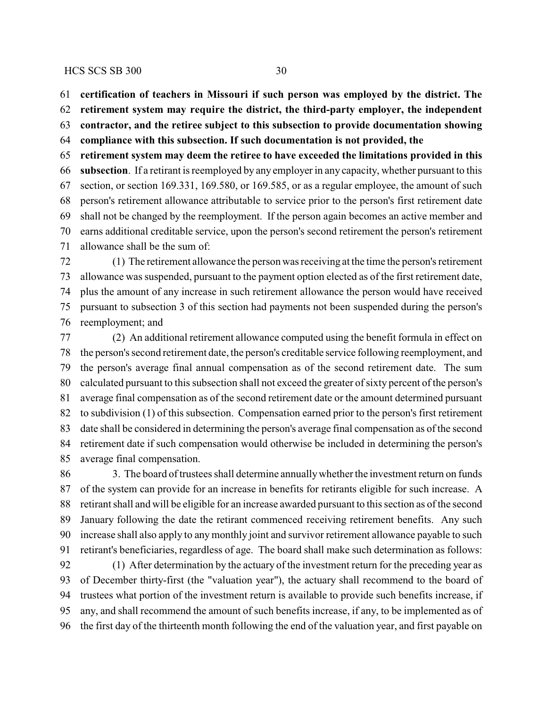**certification of teachers in Missouri if such person was employed by the district. The**

**retirement system may require the district, the third-party employer, the independent**

**contractor, and the retiree subject to this subsection to provide documentation showing**

**compliance with this subsection. If such documentation is not provided, the**

 **retirement system may deem the retiree to have exceeded the limitations provided in this subsection**. If a retirant is reemployed by any employer in any capacity, whether pursuant to this section, or section 169.331, 169.580, or 169.585, or as a regular employee, the amount of such person's retirement allowance attributable to service prior to the person's first retirement date shall not be changed by the reemployment. If the person again becomes an active member and earns additional creditable service, upon the person's second retirement the person's retirement allowance shall be the sum of:

 (1) The retirement allowance the person was receiving at the time the person's retirement allowance was suspended, pursuant to the payment option elected as of the first retirement date, plus the amount of any increase in such retirement allowance the person would have received pursuant to subsection 3 of this section had payments not been suspended during the person's reemployment; and

 (2) An additional retirement allowance computed using the benefit formula in effect on the person's second retirement date, the person's creditable service following reemployment, and the person's average final annual compensation as of the second retirement date. The sum calculated pursuant to this subsection shall not exceed the greater of sixty percent of the person's average final compensation as of the second retirement date or the amount determined pursuant to subdivision (1) of this subsection. Compensation earned prior to the person's first retirement date shall be considered in determining the person's average final compensation as of the second retirement date if such compensation would otherwise be included in determining the person's average final compensation.

 3. The board of trustees shall determine annuallywhether the investment return on funds of the system can provide for an increase in benefits for retirants eligible for such increase. A retirant shall and will be eligible for an increase awarded pursuant to this section as of the second January following the date the retirant commenced receiving retirement benefits. Any such increase shall also apply to any monthly joint and survivor retirement allowance payable to such retirant's beneficiaries, regardless of age. The board shall make such determination as follows: (1) After determination by the actuary of the investment return for the preceding year as of December thirty-first (the "valuation year"), the actuary shall recommend to the board of trustees what portion of the investment return is available to provide such benefits increase, if any, and shall recommend the amount of such benefits increase, if any, to be implemented as of

the first day of the thirteenth month following the end of the valuation year, and first payable on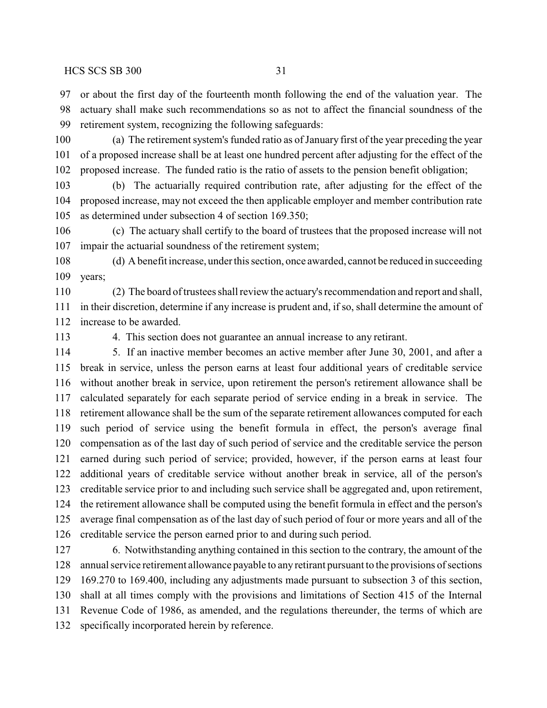or about the first day of the fourteenth month following the end of the valuation year. The actuary shall make such recommendations so as not to affect the financial soundness of the retirement system, recognizing the following safeguards:

 (a) The retirement system's funded ratio as of January first of the year preceding the year of a proposed increase shall be at least one hundred percent after adjusting for the effect of the proposed increase. The funded ratio is the ratio of assets to the pension benefit obligation;

 (b) The actuarially required contribution rate, after adjusting for the effect of the proposed increase, may not exceed the then applicable employer and member contribution rate as determined under subsection 4 of section 169.350;

 (c) The actuary shall certify to the board of trustees that the proposed increase will not impair the actuarial soundness of the retirement system;

 (d) A benefit increase, under this section, once awarded, cannot be reduced in succeeding years;

 (2) The board of trustees shall review the actuary's recommendation and report and shall, in their discretion, determine if any increase is prudent and, if so, shall determine the amount of increase to be awarded.

4. This section does not guarantee an annual increase to any retirant.

 5. If an inactive member becomes an active member after June 30, 2001, and after a break in service, unless the person earns at least four additional years of creditable service without another break in service, upon retirement the person's retirement allowance shall be calculated separately for each separate period of service ending in a break in service. The retirement allowance shall be the sum of the separate retirement allowances computed for each such period of service using the benefit formula in effect, the person's average final compensation as of the last day of such period of service and the creditable service the person earned during such period of service; provided, however, if the person earns at least four additional years of creditable service without another break in service, all of the person's creditable service prior to and including such service shall be aggregated and, upon retirement, the retirement allowance shall be computed using the benefit formula in effect and the person's average final compensation as of the last day of such period of four or more years and all of the creditable service the person earned prior to and during such period.

 6. Notwithstanding anything contained in this section to the contrary, the amount of the annual service retirement allowance payable to any retirant pursuant to the provisions of sections 169.270 to 169.400, including any adjustments made pursuant to subsection 3 of this section, shall at all times comply with the provisions and limitations of Section 415 of the Internal Revenue Code of 1986, as amended, and the regulations thereunder, the terms of which are specifically incorporated herein by reference.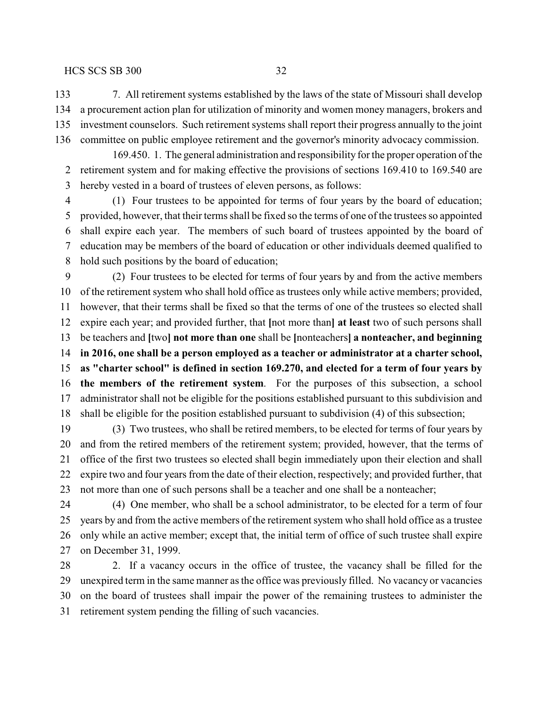7. All retirement systems established by the laws of the state of Missouri shall develop a procurement action plan for utilization of minority and women money managers, brokers and investment counselors. Such retirement systems shall report their progress annually to the joint committee on public employee retirement and the governor's minority advocacy commission.

169.450. 1. The general administration and responsibility for the proper operation of the retirement system and for making effective the provisions of sections 169.410 to 169.540 are hereby vested in a board of trustees of eleven persons, as follows:

 (1) Four trustees to be appointed for terms of four years by the board of education; provided, however, that their terms shall be fixed so the terms of one of the trustees so appointed shall expire each year. The members of such board of trustees appointed by the board of education may be members of the board of education or other individuals deemed qualified to hold such positions by the board of education;

 (2) Four trustees to be elected for terms of four years by and from the active members of the retirement system who shall hold office as trustees only while active members; provided, however, that their terms shall be fixed so that the terms of one of the trustees so elected shall expire each year; and provided further, that **[**not more than**] at least** two of such persons shall be teachers and **[**two**] not more than one** shall be **[**nonteachers**] a nonteacher, and beginning in 2016, one shall be a person employed as a teacher or administrator at a charter school, as "charter school" is defined in section 169.270, and elected for a term of four years by the members of the retirement system**. For the purposes of this subsection, a school administrator shall not be eligible for the positions established pursuant to this subdivision and shall be eligible for the position established pursuant to subdivision (4) of this subsection;

 (3) Two trustees, who shall be retired members, to be elected for terms of four years by and from the retired members of the retirement system; provided, however, that the terms of office of the first two trustees so elected shall begin immediately upon their election and shall expire two and four years from the date of their election, respectively; and provided further, that not more than one of such persons shall be a teacher and one shall be a nonteacher;

 (4) One member, who shall be a school administrator, to be elected for a term of four years by and from the active members of the retirement system who shall hold office as a trustee only while an active member; except that, the initial term of office of such trustee shall expire on December 31, 1999.

28 2. If a vacancy occurs in the office of trustee, the vacancy shall be filled for the unexpired term in the same manner as the office was previously filled. No vacancy or vacancies on the board of trustees shall impair the power of the remaining trustees to administer the retirement system pending the filling of such vacancies.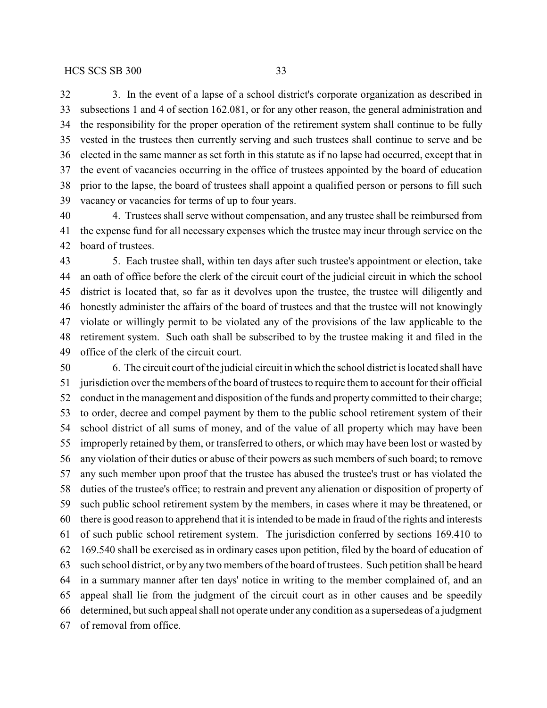3. In the event of a lapse of a school district's corporate organization as described in subsections 1 and 4 of section 162.081, or for any other reason, the general administration and the responsibility for the proper operation of the retirement system shall continue to be fully vested in the trustees then currently serving and such trustees shall continue to serve and be elected in the same manner as set forth in this statute as if no lapse had occurred, except that in the event of vacancies occurring in the office of trustees appointed by the board of education prior to the lapse, the board of trustees shall appoint a qualified person or persons to fill such

vacancy or vacancies for terms of up to four years.

 4. Trustees shall serve without compensation, and any trustee shall be reimbursed from the expense fund for all necessary expenses which the trustee may incur through service on the board of trustees.

 5. Each trustee shall, within ten days after such trustee's appointment or election, take an oath of office before the clerk of the circuit court of the judicial circuit in which the school district is located that, so far as it devolves upon the trustee, the trustee will diligently and honestly administer the affairs of the board of trustees and that the trustee will not knowingly violate or willingly permit to be violated any of the provisions of the law applicable to the retirement system. Such oath shall be subscribed to by the trustee making it and filed in the office of the clerk of the circuit court.

 6. The circuit court of the judicial circuit in which the school district is located shall have jurisdiction over the members of the board of trustees to require them to account for their official conduct in the management and disposition of the funds and property committed to their charge; to order, decree and compel payment by them to the public school retirement system of their school district of all sums of money, and of the value of all property which may have been improperly retained by them, or transferred to others, or which may have been lost or wasted by any violation of their duties or abuse of their powers as such members of such board; to remove any such member upon proof that the trustee has abused the trustee's trust or has violated the duties of the trustee's office; to restrain and prevent any alienation or disposition of property of such public school retirement system by the members, in cases where it may be threatened, or there is good reason to apprehend that it is intended to be made in fraud of the rights and interests of such public school retirement system. The jurisdiction conferred by sections 169.410 to 169.540 shall be exercised as in ordinary cases upon petition, filed by the board of education of such school district, or by any two members of the board of trustees. Such petition shall be heard in a summary manner after ten days' notice in writing to the member complained of, and an appeal shall lie from the judgment of the circuit court as in other causes and be speedily determined, but such appeal shall not operate under anycondition as a supersedeas of a judgment of removal from office.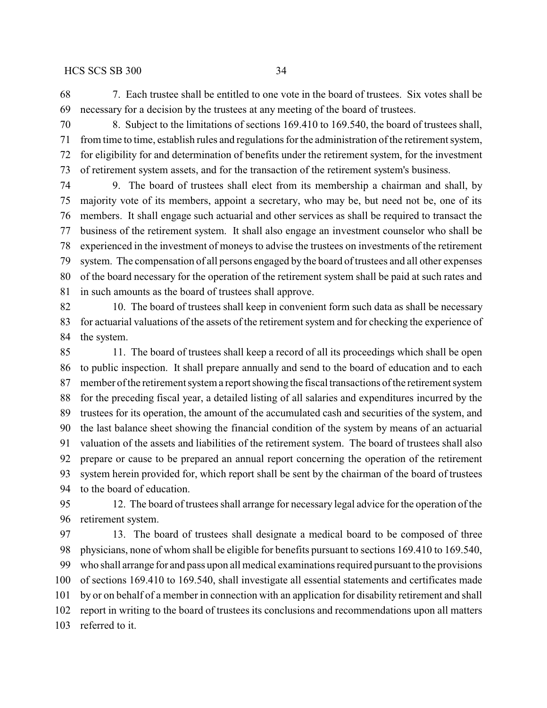7. Each trustee shall be entitled to one vote in the board of trustees. Six votes shall be necessary for a decision by the trustees at any meeting of the board of trustees.

 8. Subject to the limitations of sections 169.410 to 169.540, the board of trustees shall, from time to time, establish rules and regulations for the administration of the retirement system, for eligibility for and determination of benefits under the retirement system, for the investment of retirement system assets, and for the transaction of the retirement system's business.

 9. The board of trustees shall elect from its membership a chairman and shall, by majority vote of its members, appoint a secretary, who may be, but need not be, one of its members. It shall engage such actuarial and other services as shall be required to transact the business of the retirement system. It shall also engage an investment counselor who shall be experienced in the investment of moneys to advise the trustees on investments of the retirement system. The compensation of all persons engaged by the board of trustees and all other expenses of the board necessary for the operation of the retirement system shall be paid at such rates and in such amounts as the board of trustees shall approve.

 10. The board of trustees shall keep in convenient form such data as shall be necessary for actuarial valuations of the assets of the retirement system and for checking the experience of the system.

 11. The board of trustees shall keep a record of all its proceedings which shall be open to public inspection. It shall prepare annually and send to the board of education and to each member of the retirement system a report showing the fiscal transactions of the retirement system for the preceding fiscal year, a detailed listing of all salaries and expenditures incurred by the trustees for its operation, the amount of the accumulated cash and securities of the system, and the last balance sheet showing the financial condition of the system by means of an actuarial valuation of the assets and liabilities of the retirement system. The board of trustees shall also prepare or cause to be prepared an annual report concerning the operation of the retirement system herein provided for, which report shall be sent by the chairman of the board of trustees to the board of education.

 12. The board of trustees shall arrange for necessary legal advice for the operation of the retirement system.

 13. The board of trustees shall designate a medical board to be composed of three physicians, none of whom shall be eligible for benefits pursuant to sections 169.410 to 169.540, who shall arrange for and pass upon all medical examinations required pursuant to the provisions of sections 169.410 to 169.540, shall investigate all essential statements and certificates made by or on behalf of a member in connection with an application for disability retirement and shall report in writing to the board of trustees its conclusions and recommendations upon all matters referred to it.